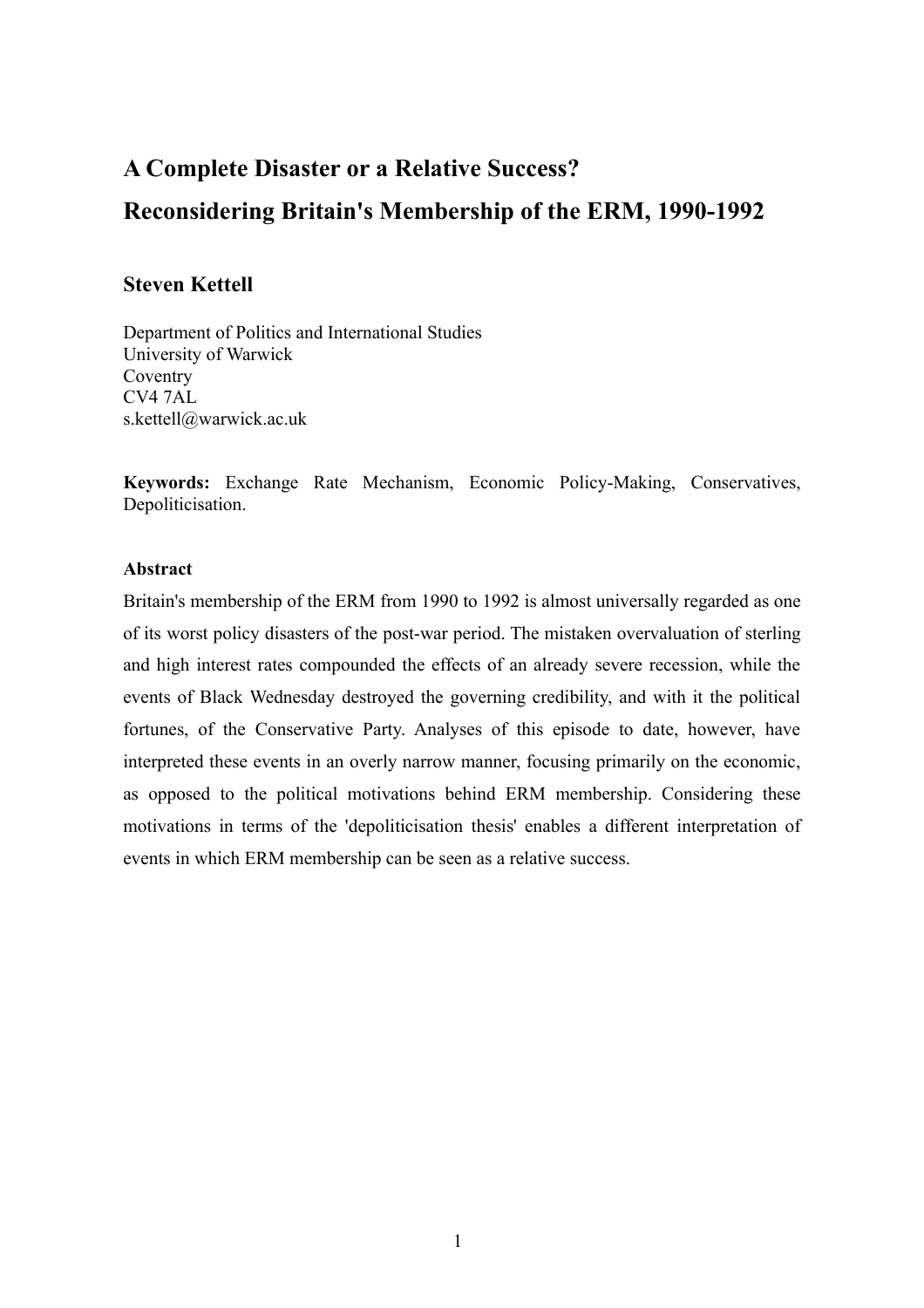# **A Complete Disaster or a Relative Success? Reconsidering Britain's Membership of the ERM, 1990-1992**

# **Steven Kettell**

Department of Politics and International Studies University of Warwick Coventry CV4 7AL s.kettell@warwick.ac.uk

**Keywords:** Exchange Rate Mechanism, Economic Policy-Making, Conservatives, Depoliticisation.

## **Abstract**

Britain's membership of the ERM from 1990 to 1992 is almost universally regarded as one of its worst policy disasters of the post-war period. The mistaken overvaluation of sterling and high interest rates compounded the effects of an already severe recession, while the events of Black Wednesday destroyed the governing credibility, and with it the political fortunes, of the Conservative Party. Analyses of this episode to date, however, have interpreted these events in an overly narrow manner, focusing primarily on the economic, as opposed to the political motivations behind ERM membership. Considering these motivations in terms of the 'depoliticisation thesis' enables a different interpretation of events in which ERM membership can be seen as a relative success.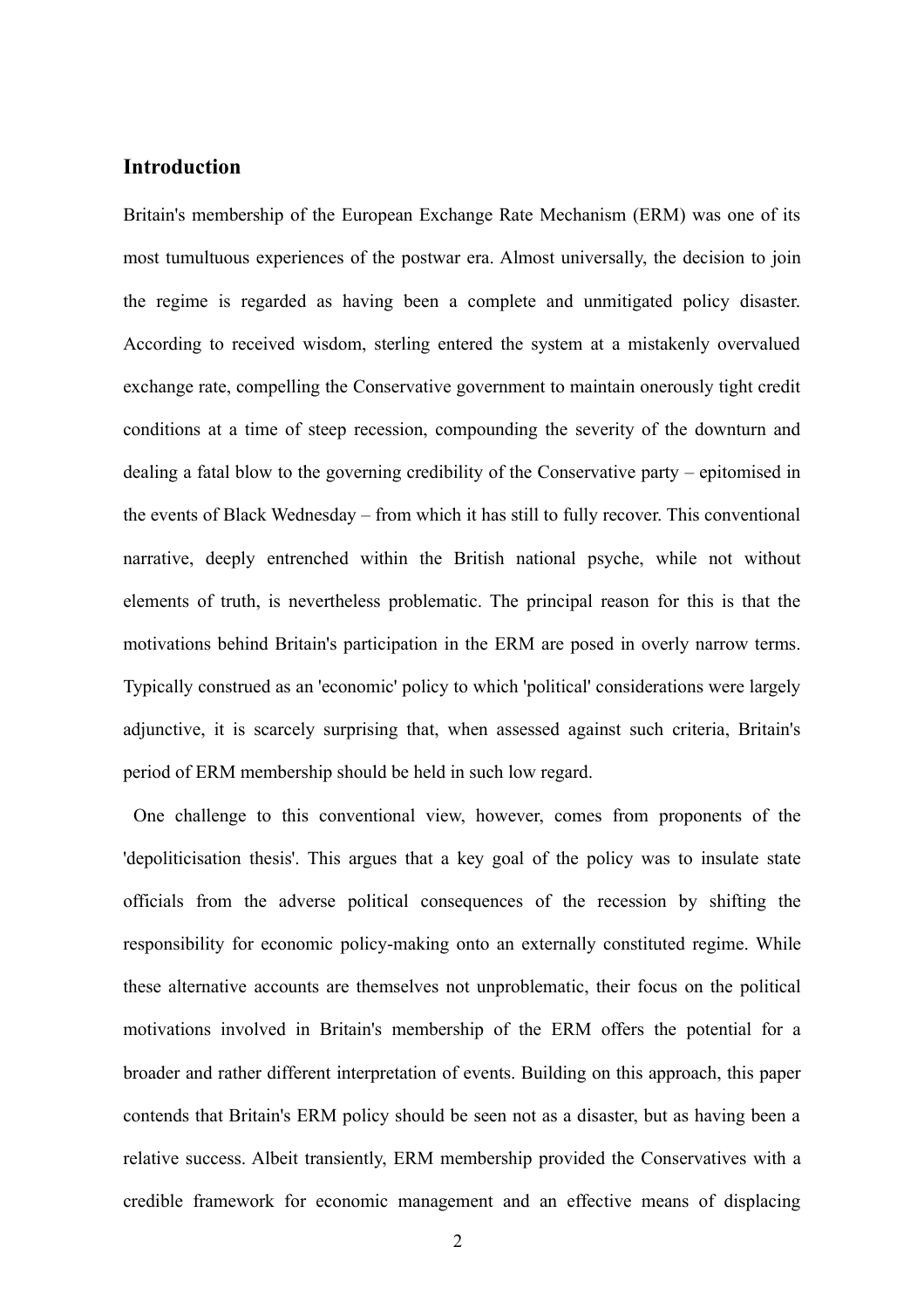# **Introduction**

Britain's membership of the European Exchange Rate Mechanism (ERM) was one of its most tumultuous experiences of the postwar era. Almost universally, the decision to join the regime is regarded as having been a complete and unmitigated policy disaster. According to received wisdom, sterling entered the system at a mistakenly overvalued exchange rate, compelling the Conservative government to maintain onerously tight credit conditions at a time of steep recession, compounding the severity of the downturn and dealing a fatal blow to the governing credibility of the Conservative party – epitomised in the events of Black Wednesday – from which it has still to fully recover. This conventional narrative, deeply entrenched within the British national psyche, while not without elements of truth, is nevertheless problematic. The principal reason for this is that the motivations behind Britain's participation in the ERM are posed in overly narrow terms. Typically construed as an 'economic' policy to which 'political' considerations were largely adjunctive, it is scarcely surprising that, when assessed against such criteria, Britain's period of ERM membership should be held in such low regard.

 One challenge to this conventional view, however, comes from proponents of the 'depoliticisation thesis'. This argues that a key goal of the policy was to insulate state officials from the adverse political consequences of the recession by shifting the responsibility for economic policy-making onto an externally constituted regime. While these alternative accounts are themselves not unproblematic, their focus on the political motivations involved in Britain's membership of the ERM offers the potential for a broader and rather different interpretation of events. Building on this approach, this paper contends that Britain's ERM policy should be seen not as a disaster, but as having been a relative success. Albeit transiently, ERM membership provided the Conservatives with a credible framework for economic management and an effective means of displacing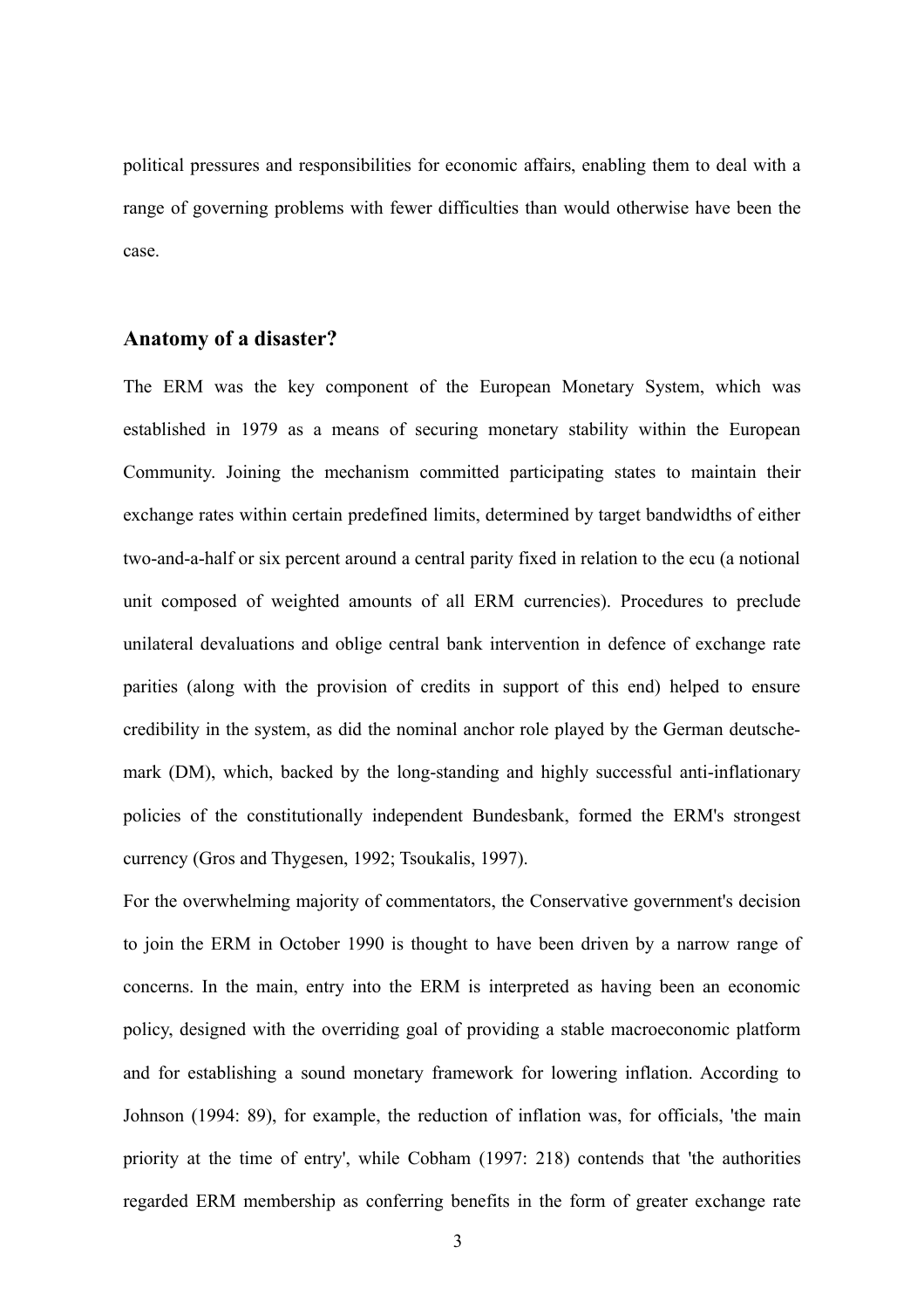political pressures and responsibilities for economic affairs, enabling them to deal with a range of governing problems with fewer difficulties than would otherwise have been the case.

## **Anatomy of a disaster?**

The ERM was the key component of the European Monetary System, which was established in 1979 as a means of securing monetary stability within the European Community. Joining the mechanism committed participating states to maintain their exchange rates within certain predefined limits, determined by target bandwidths of either two-and-a-half or six percent around a central parity fixed in relation to the ecu (a notional unit composed of weighted amounts of all ERM currencies). Procedures to preclude unilateral devaluations and oblige central bank intervention in defence of exchange rate parities (along with the provision of credits in support of this end) helped to ensure credibility in the system, as did the nominal anchor role played by the German deutschemark (DM), which, backed by the long-standing and highly successful anti-inflationary policies of the constitutionally independent Bundesbank, formed the ERM's strongest currency (Gros and Thygesen, 1992; Tsoukalis, 1997).

For the overwhelming majority of commentators, the Conservative government's decision to join the ERM in October 1990 is thought to have been driven by a narrow range of concerns. In the main, entry into the ERM is interpreted as having been an economic policy, designed with the overriding goal of providing a stable macroeconomic platform and for establishing a sound monetary framework for lowering inflation. According to Johnson (1994: 89), for example, the reduction of inflation was, for officials, 'the main priority at the time of entry', while Cobham (1997: 218) contends that 'the authorities regarded ERM membership as conferring benefits in the form of greater exchange rate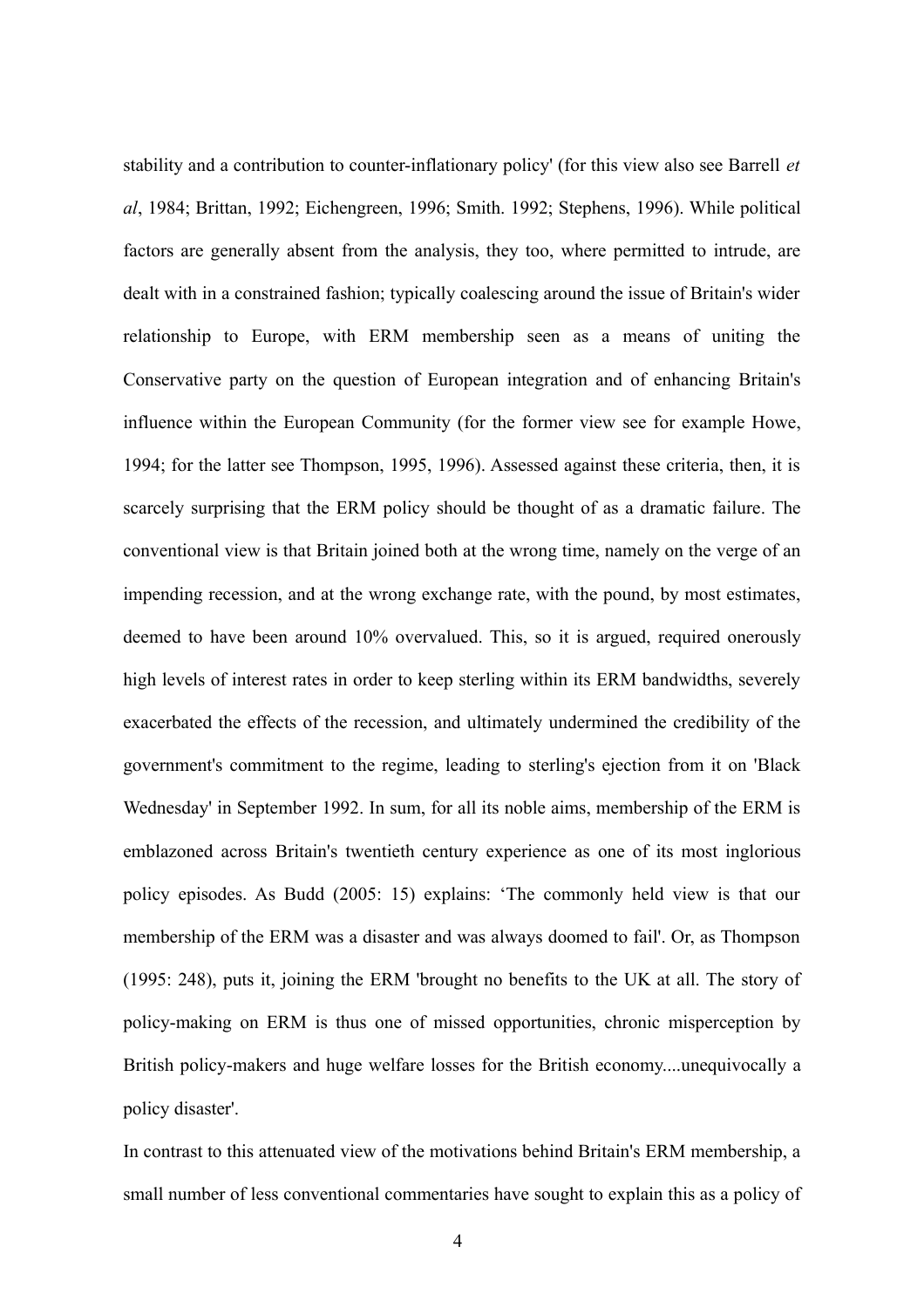stability and a contribution to counter-inflationary policy' (for this view also see Barrell *et al*, 1984; Brittan, 1992; Eichengreen, 1996; Smith. 1992; Stephens, 1996). While political factors are generally absent from the analysis, they too, where permitted to intrude, are dealt with in a constrained fashion; typically coalescing around the issue of Britain's wider relationship to Europe, with ERM membership seen as a means of uniting the Conservative party on the question of European integration and of enhancing Britain's influence within the European Community (for the former view see for example Howe, 1994; for the latter see Thompson, 1995, 1996). Assessed against these criteria, then, it is scarcely surprising that the ERM policy should be thought of as a dramatic failure. The conventional view is that Britain joined both at the wrong time, namely on the verge of an impending recession, and at the wrong exchange rate, with the pound, by most estimates, deemed to have been around 10% overvalued. This, so it is argued, required onerously high levels of interest rates in order to keep sterling within its ERM bandwidths, severely exacerbated the effects of the recession, and ultimately undermined the credibility of the government's commitment to the regime, leading to sterling's ejection from it on 'Black Wednesday' in September 1992. In sum, for all its noble aims, membership of the ERM is emblazoned across Britain's twentieth century experience as one of its most inglorious policy episodes. As Budd (2005: 15) explains: 'The commonly held view is that our membership of the ERM was a disaster and was always doomed to fail'. Or, as Thompson (1995: 248), puts it, joining the ERM 'brought no benefits to the UK at all. The story of policy-making on ERM is thus one of missed opportunities, chronic misperception by British policy-makers and huge welfare losses for the British economy....unequivocally a policy disaster'.

In contrast to this attenuated view of the motivations behind Britain's ERM membership, a small number of less conventional commentaries have sought to explain this as a policy of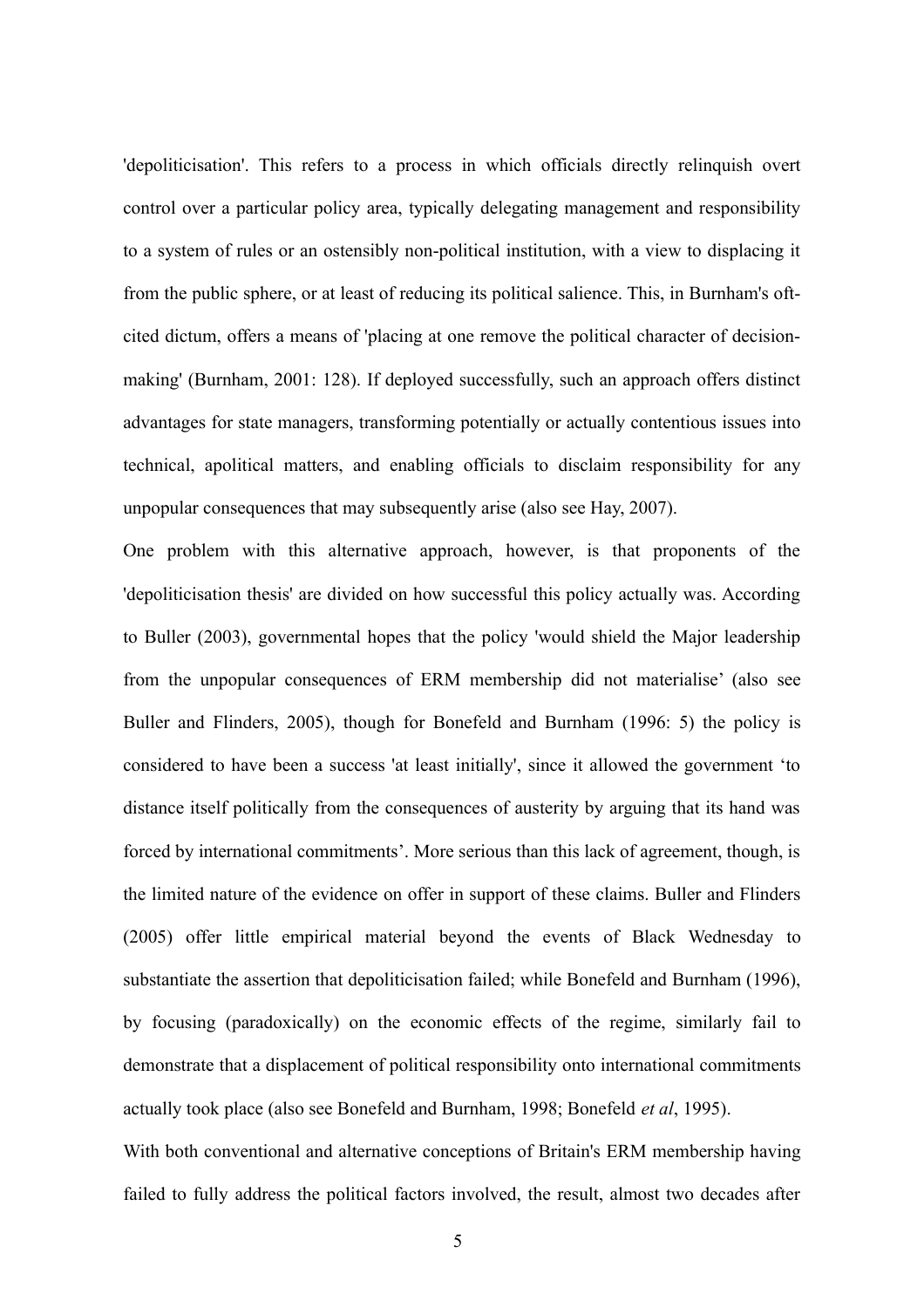'depoliticisation'. This refers to a process in which officials directly relinquish overt control over a particular policy area, typically delegating management and responsibility to a system of rules or an ostensibly non-political institution, with a view to displacing it from the public sphere, or at least of reducing its political salience. This, in Burnham's oftcited dictum, offers a means of 'placing at one remove the political character of decisionmaking' (Burnham, 2001: 128). If deployed successfully, such an approach offers distinct advantages for state managers, transforming potentially or actually contentious issues into technical, apolitical matters, and enabling officials to disclaim responsibility for any unpopular consequences that may subsequently arise (also see Hay, 2007).

One problem with this alternative approach, however, is that proponents of the 'depoliticisation thesis' are divided on how successful this policy actually was. According to Buller (2003), governmental hopes that the policy 'would shield the Major leadership from the unpopular consequences of ERM membership did not materialise' (also see Buller and Flinders, 2005), though for Bonefeld and Burnham (1996: 5) the policy is considered to have been a success 'at least initially', since it allowed the government 'to distance itself politically from the consequences of austerity by arguing that its hand was forced by international commitments'. More serious than this lack of agreement, though, is the limited nature of the evidence on offer in support of these claims. Buller and Flinders (2005) offer little empirical material beyond the events of Black Wednesday to substantiate the assertion that depoliticisation failed; while Bonefeld and Burnham (1996), by focusing (paradoxically) on the economic effects of the regime, similarly fail to demonstrate that a displacement of political responsibility onto international commitments actually took place (also see Bonefeld and Burnham, 1998; Bonefeld *et al*, 1995). With both conventional and alternative conceptions of Britain's ERM membership having

failed to fully address the political factors involved, the result, almost two decades after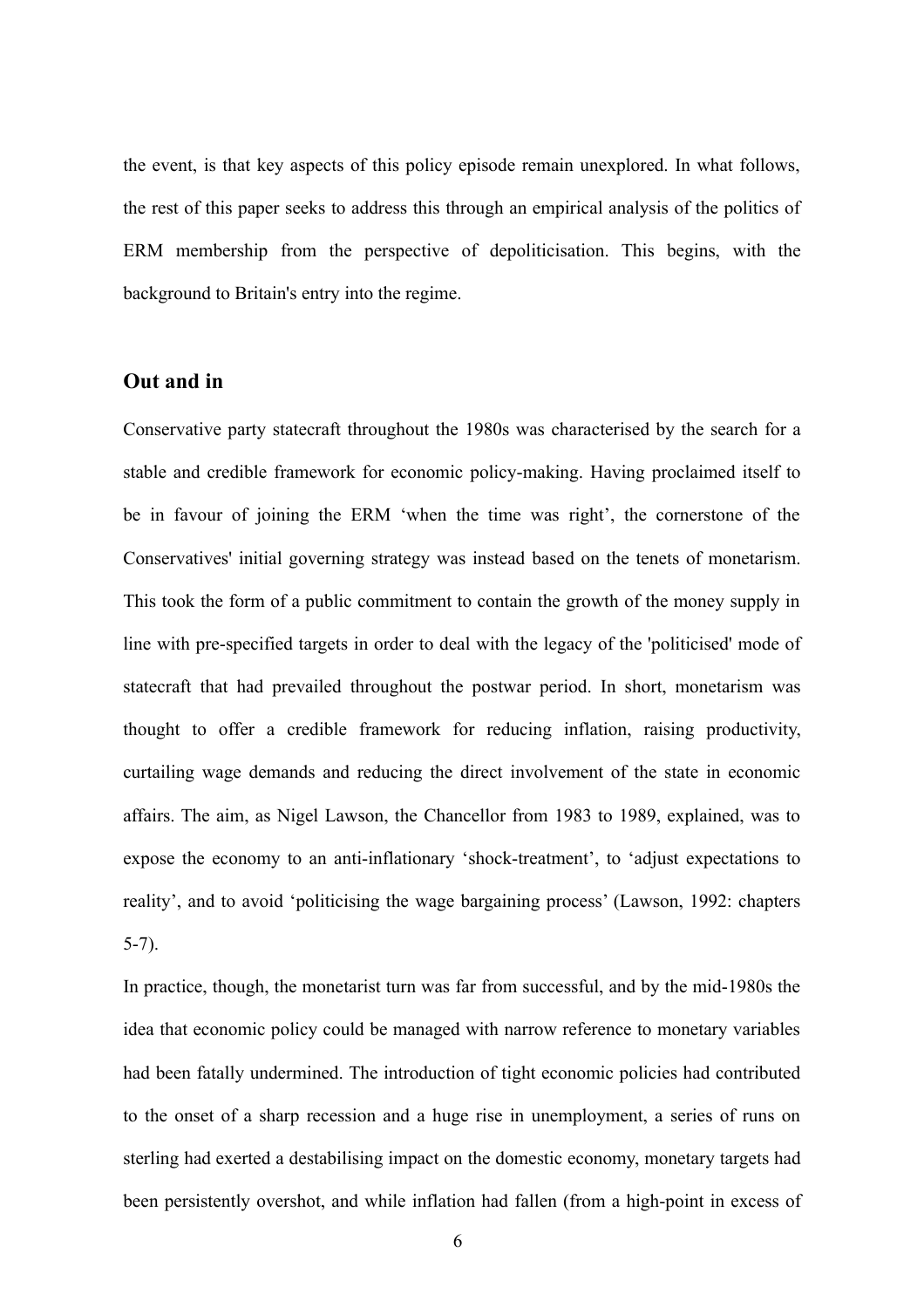the event, is that key aspects of this policy episode remain unexplored. In what follows, the rest of this paper seeks to address this through an empirical analysis of the politics of ERM membership from the perspective of depoliticisation. This begins, with the background to Britain's entry into the regime.

# **Out and in**

Conservative party statecraft throughout the 1980s was characterised by the search for a stable and credible framework for economic policy-making. Having proclaimed itself to be in favour of joining the ERM 'when the time was right', the cornerstone of the Conservatives' initial governing strategy was instead based on the tenets of monetarism. This took the form of a public commitment to contain the growth of the money supply in line with pre-specified targets in order to deal with the legacy of the 'politicised' mode of statecraft that had prevailed throughout the postwar period. In short, monetarism was thought to offer a credible framework for reducing inflation, raising productivity, curtailing wage demands and reducing the direct involvement of the state in economic affairs. The aim, as Nigel Lawson, the Chancellor from 1983 to 1989, explained, was to expose the economy to an anti-inflationary 'shock-treatment', to 'adjust expectations to reality', and to avoid 'politicising the wage bargaining process' (Lawson, 1992: chapters 5-7).

In practice, though, the monetarist turn was far from successful, and by the mid-1980s the idea that economic policy could be managed with narrow reference to monetary variables had been fatally undermined. The introduction of tight economic policies had contributed to the onset of a sharp recession and a huge rise in unemployment, a series of runs on sterling had exerted a destabilising impact on the domestic economy, monetary targets had been persistently overshot, and while inflation had fallen (from a high-point in excess of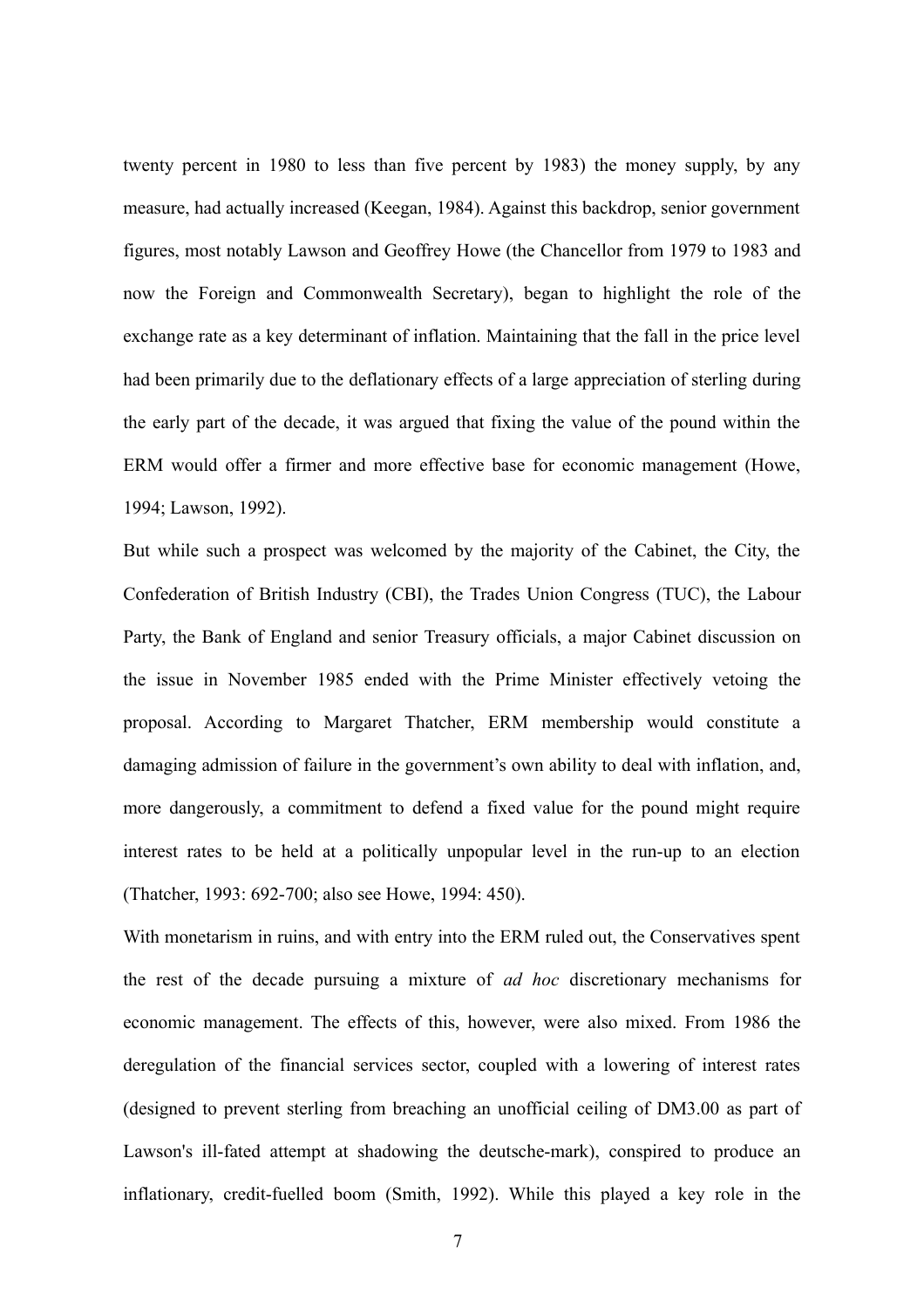twenty percent in 1980 to less than five percent by 1983) the money supply, by any measure, had actually increased (Keegan, 1984). Against this backdrop, senior government figures, most notably Lawson and Geoffrey Howe (the Chancellor from 1979 to 1983 and now the Foreign and Commonwealth Secretary), began to highlight the role of the exchange rate as a key determinant of inflation. Maintaining that the fall in the price level had been primarily due to the deflationary effects of a large appreciation of sterling during the early part of the decade, it was argued that fixing the value of the pound within the ERM would offer a firmer and more effective base for economic management (Howe, 1994; Lawson, 1992).

But while such a prospect was welcomed by the majority of the Cabinet, the City, the Confederation of British Industry (CBI), the Trades Union Congress (TUC), the Labour Party, the Bank of England and senior Treasury officials, a major Cabinet discussion on the issue in November 1985 ended with the Prime Minister effectively vetoing the proposal. According to Margaret Thatcher, ERM membership would constitute a damaging admission of failure in the government's own ability to deal with inflation, and, more dangerously, a commitment to defend a fixed value for the pound might require interest rates to be held at a politically unpopular level in the run-up to an election (Thatcher, 1993: 692-700; also see Howe, 1994: 450).

With monetarism in ruins, and with entry into the ERM ruled out, the Conservatives spent the rest of the decade pursuing a mixture of *ad hoc* discretionary mechanisms for economic management. The effects of this, however, were also mixed. From 1986 the deregulation of the financial services sector, coupled with a lowering of interest rates (designed to prevent sterling from breaching an unofficial ceiling of DM3.00 as part of Lawson's ill-fated attempt at shadowing the deutsche-mark), conspired to produce an inflationary, credit-fuelled boom (Smith, 1992). While this played a key role in the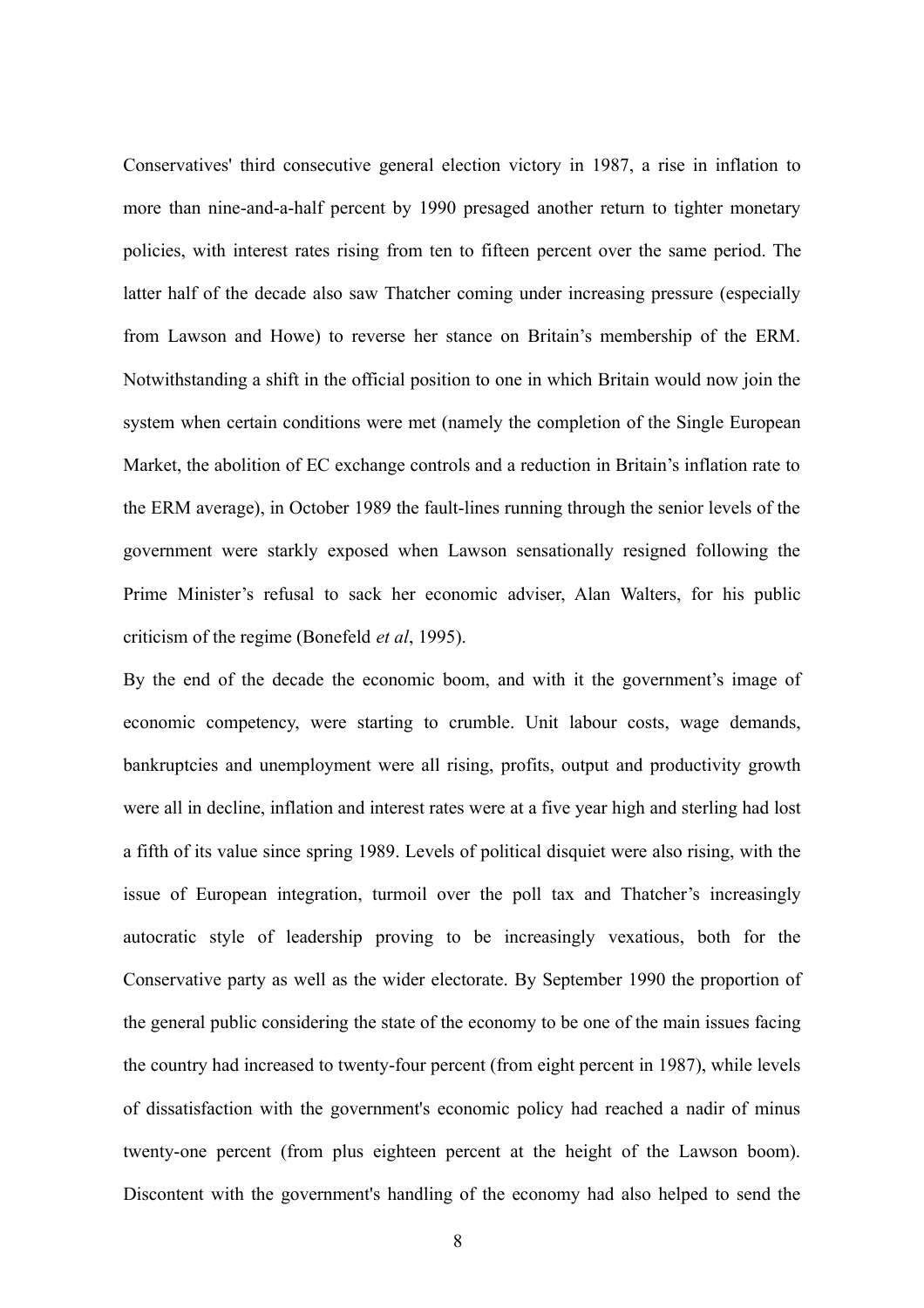Conservatives' third consecutive general election victory in 1987, a rise in inflation to more than nine-and-a-half percent by 1990 presaged another return to tighter monetary policies, with interest rates rising from ten to fifteen percent over the same period. The latter half of the decade also saw Thatcher coming under increasing pressure (especially from Lawson and Howe) to reverse her stance on Britain's membership of the ERM. Notwithstanding a shift in the official position to one in which Britain would now join the system when certain conditions were met (namely the completion of the Single European Market, the abolition of EC exchange controls and a reduction in Britain's inflation rate to the ERM average), in October 1989 the fault-lines running through the senior levels of the government were starkly exposed when Lawson sensationally resigned following the Prime Minister's refusal to sack her economic adviser, Alan Walters, for his public criticism of the regime (Bonefeld *et al*, 1995).

By the end of the decade the economic boom, and with it the government's image of economic competency, were starting to crumble. Unit labour costs, wage demands, bankruptcies and unemployment were all rising, profits, output and productivity growth were all in decline, inflation and interest rates were at a five year high and sterling had lost a fifth of its value since spring 1989. Levels of political disquiet were also rising, with the issue of European integration, turmoil over the poll tax and Thatcher's increasingly autocratic style of leadership proving to be increasingly vexatious, both for the Conservative party as well as the wider electorate. By September 1990 the proportion of the general public considering the state of the economy to be one of the main issues facing the country had increased to twenty-four percent (from eight percent in 1987), while levels of dissatisfaction with the government's economic policy had reached a nadir of minus twenty-one percent (from plus eighteen percent at the height of the Lawson boom). Discontent with the government's handling of the economy had also helped to send the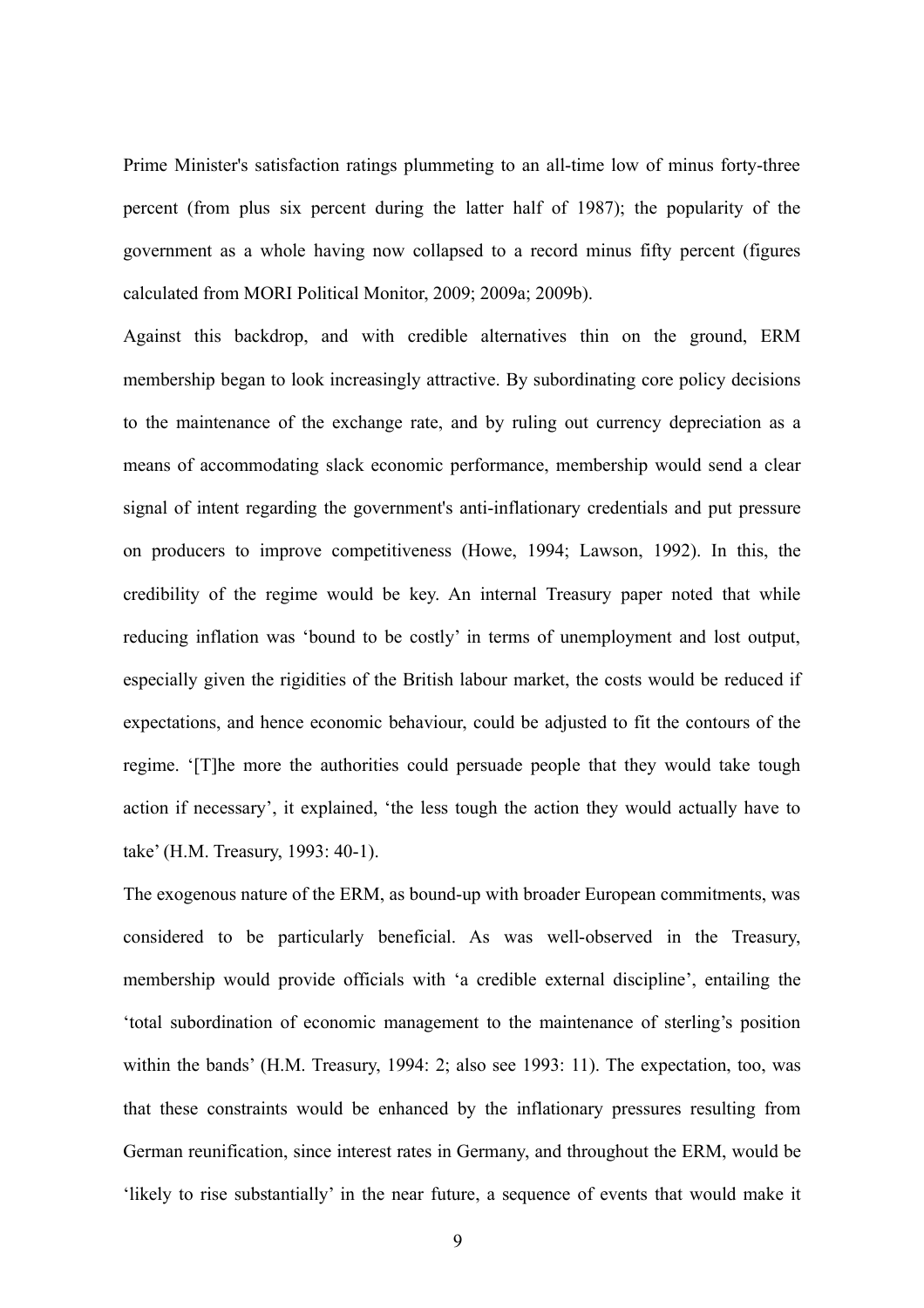Prime Minister's satisfaction ratings plummeting to an all-time low of minus forty-three percent (from plus six percent during the latter half of 1987); the popularity of the government as a whole having now collapsed to a record minus fifty percent (figures calculated from MORI Political Monitor, 2009; 2009a; 2009b).

Against this backdrop, and with credible alternatives thin on the ground, ERM membership began to look increasingly attractive. By subordinating core policy decisions to the maintenance of the exchange rate, and by ruling out currency depreciation as a means of accommodating slack economic performance, membership would send a clear signal of intent regarding the government's anti-inflationary credentials and put pressure on producers to improve competitiveness (Howe, 1994; Lawson, 1992). In this, the credibility of the regime would be key. An internal Treasury paper noted that while reducing inflation was 'bound to be costly' in terms of unemployment and lost output, especially given the rigidities of the British labour market, the costs would be reduced if expectations, and hence economic behaviour, could be adjusted to fit the contours of the regime. '[T]he more the authorities could persuade people that they would take tough action if necessary', it explained, 'the less tough the action they would actually have to take' (H.M. Treasury, 1993: 40-1).

The exogenous nature of the ERM, as bound-up with broader European commitments, was considered to be particularly beneficial. As was well-observed in the Treasury, membership would provide officials with 'a credible external discipline', entailing the 'total subordination of economic management to the maintenance of sterling's position within the bands' (H.M. Treasury, 1994: 2; also see 1993: 11). The expectation, too, was that these constraints would be enhanced by the inflationary pressures resulting from German reunification, since interest rates in Germany, and throughout the ERM, would be 'likely to rise substantially' in the near future, a sequence of events that would make it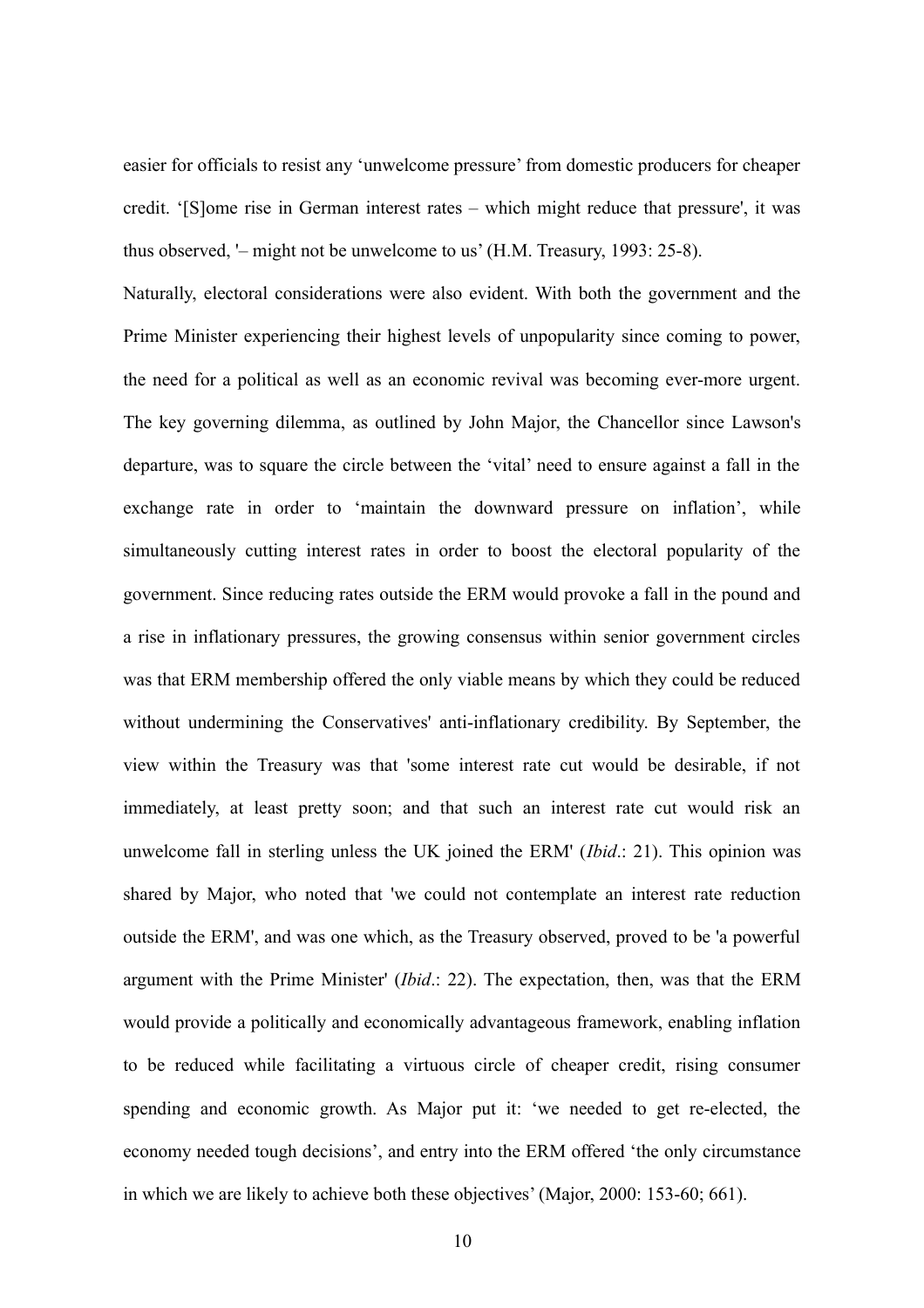easier for officials to resist any 'unwelcome pressure' from domestic producers for cheaper credit. '[S]ome rise in German interest rates – which might reduce that pressure', it was thus observed, '– might not be unwelcome to us' (H.M. Treasury, 1993: 25-8).

Naturally, electoral considerations were also evident. With both the government and the Prime Minister experiencing their highest levels of unpopularity since coming to power, the need for a political as well as an economic revival was becoming ever-more urgent. The key governing dilemma, as outlined by John Major, the Chancellor since Lawson's departure, was to square the circle between the 'vital' need to ensure against a fall in the exchange rate in order to 'maintain the downward pressure on inflation', while simultaneously cutting interest rates in order to boost the electoral popularity of the government. Since reducing rates outside the ERM would provoke a fall in the pound and a rise in inflationary pressures, the growing consensus within senior government circles was that ERM membership offered the only viable means by which they could be reduced without undermining the Conservatives' anti-inflationary credibility. By September, the view within the Treasury was that 'some interest rate cut would be desirable, if not immediately, at least pretty soon; and that such an interest rate cut would risk an unwelcome fall in sterling unless the UK joined the ERM' (*Ibid*.: 21). This opinion was shared by Major, who noted that 'we could not contemplate an interest rate reduction outside the ERM', and was one which, as the Treasury observed, proved to be 'a powerful argument with the Prime Minister' (*Ibid*.: 22). The expectation, then, was that the ERM would provide a politically and economically advantageous framework, enabling inflation to be reduced while facilitating a virtuous circle of cheaper credit, rising consumer spending and economic growth. As Major put it: 'we needed to get re-elected, the economy needed tough decisions', and entry into the ERM offered 'the only circumstance in which we are likely to achieve both these objectives' (Major, 2000: 153-60; 661).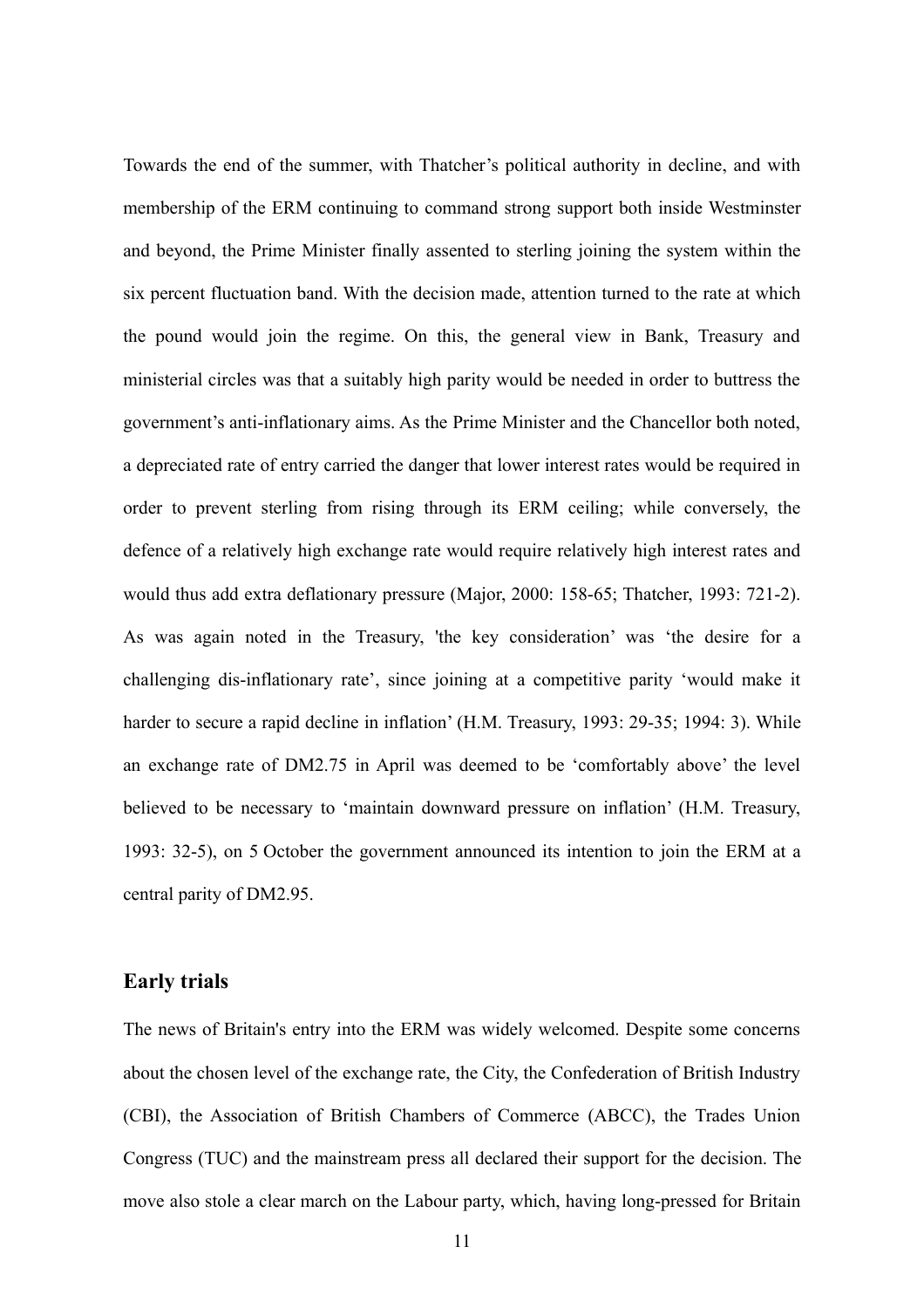Towards the end of the summer, with Thatcher's political authority in decline, and with membership of the ERM continuing to command strong support both inside Westminster and beyond, the Prime Minister finally assented to sterling joining the system within the six percent fluctuation band. With the decision made, attention turned to the rate at which the pound would join the regime. On this, the general view in Bank, Treasury and ministerial circles was that a suitably high parity would be needed in order to buttress the government's anti-inflationary aims. As the Prime Minister and the Chancellor both noted, a depreciated rate of entry carried the danger that lower interest rates would be required in order to prevent sterling from rising through its ERM ceiling; while conversely, the defence of a relatively high exchange rate would require relatively high interest rates and would thus add extra deflationary pressure (Major, 2000: 158-65; Thatcher, 1993: 721-2). As was again noted in the Treasury, 'the key consideration' was 'the desire for a challenging dis-inflationary rate', since joining at a competitive parity 'would make it harder to secure a rapid decline in inflation' (H.M. Treasury, 1993: 29-35; 1994: 3). While an exchange rate of DM2.75 in April was deemed to be 'comfortably above' the level believed to be necessary to 'maintain downward pressure on inflation' (H.M. Treasury, 1993: 32-5), on 5 October the government announced its intention to join the ERM at a central parity of DM2.95.

#### **Early trials**

The news of Britain's entry into the ERM was widely welcomed. Despite some concerns about the chosen level of the exchange rate, the City, the Confederation of British Industry (CBI), the Association of British Chambers of Commerce (ABCC), the Trades Union Congress (TUC) and the mainstream press all declared their support for the decision. The move also stole a clear march on the Labour party, which, having long-pressed for Britain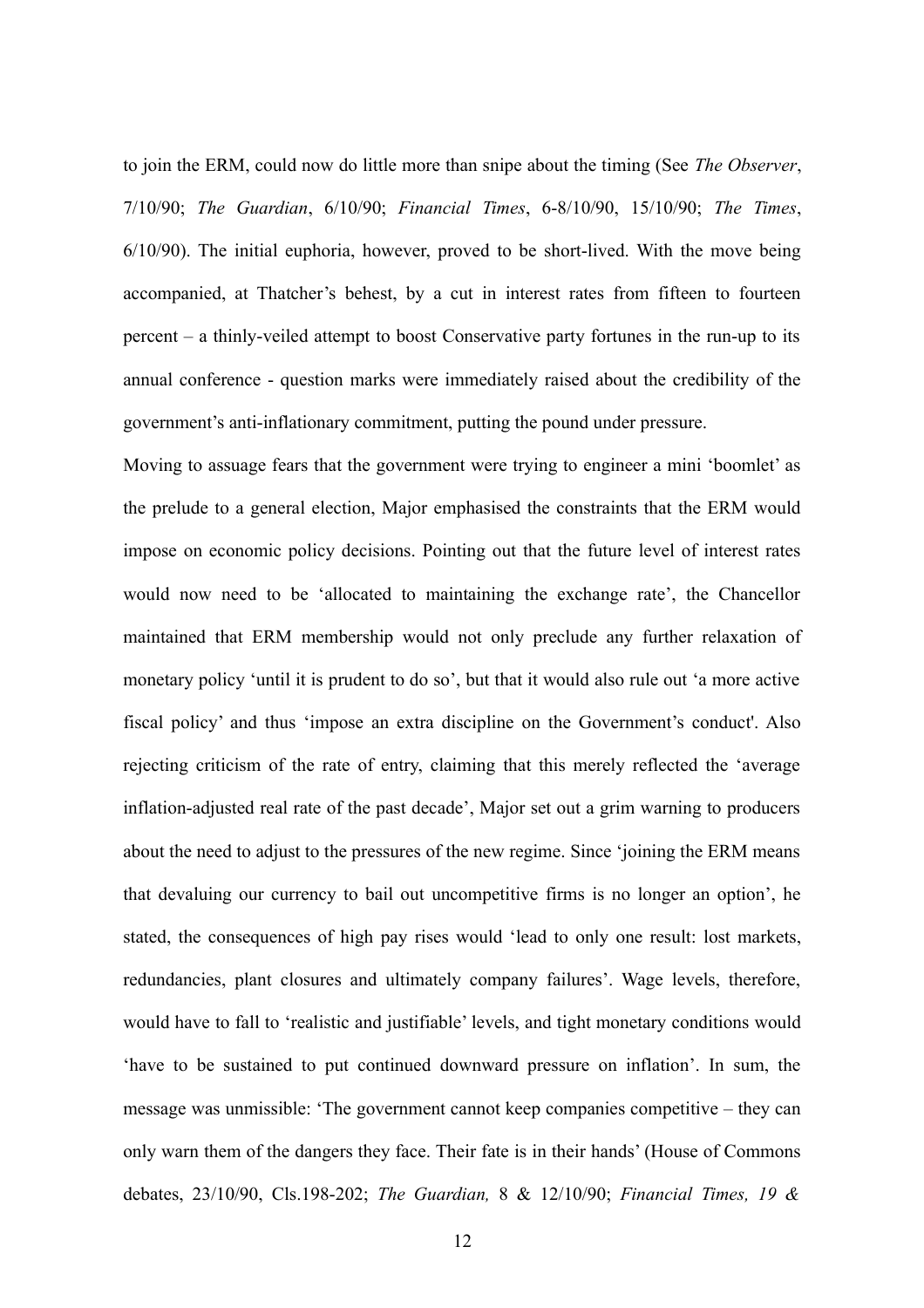to join the ERM, could now do little more than snipe about the timing (See *The Observer*, 7/10/90; *The Guardian*, 6/10/90; *Financial Times*, 6-8/10/90, 15/10/90; *The Times*, 6/10/90). The initial euphoria, however, proved to be short-lived. With the move being accompanied, at Thatcher's behest, by a cut in interest rates from fifteen to fourteen percent – a thinly-veiled attempt to boost Conservative party fortunes in the run-up to its annual conference - question marks were immediately raised about the credibility of the government's anti-inflationary commitment, putting the pound under pressure.

Moving to assuage fears that the government were trying to engineer a mini 'boomlet' as the prelude to a general election, Major emphasised the constraints that the ERM would impose on economic policy decisions. Pointing out that the future level of interest rates would now need to be 'allocated to maintaining the exchange rate', the Chancellor maintained that ERM membership would not only preclude any further relaxation of monetary policy 'until it is prudent to do so', but that it would also rule out 'a more active fiscal policy' and thus 'impose an extra discipline on the Government's conduct'. Also rejecting criticism of the rate of entry, claiming that this merely reflected the 'average inflation-adjusted real rate of the past decade', Major set out a grim warning to producers about the need to adjust to the pressures of the new regime. Since 'joining the ERM means that devaluing our currency to bail out uncompetitive firms is no longer an option', he stated, the consequences of high pay rises would 'lead to only one result: lost markets, redundancies, plant closures and ultimately company failures'. Wage levels, therefore, would have to fall to 'realistic and justifiable' levels, and tight monetary conditions would 'have to be sustained to put continued downward pressure on inflation'. In sum, the message was unmissible: 'The government cannot keep companies competitive – they can only warn them of the dangers they face. Their fate is in their hands' (House of Commons debates, 23/10/90, Cls.198-202; *The Guardian,* 8 & 12/10/90; *Financial Times, 19 &*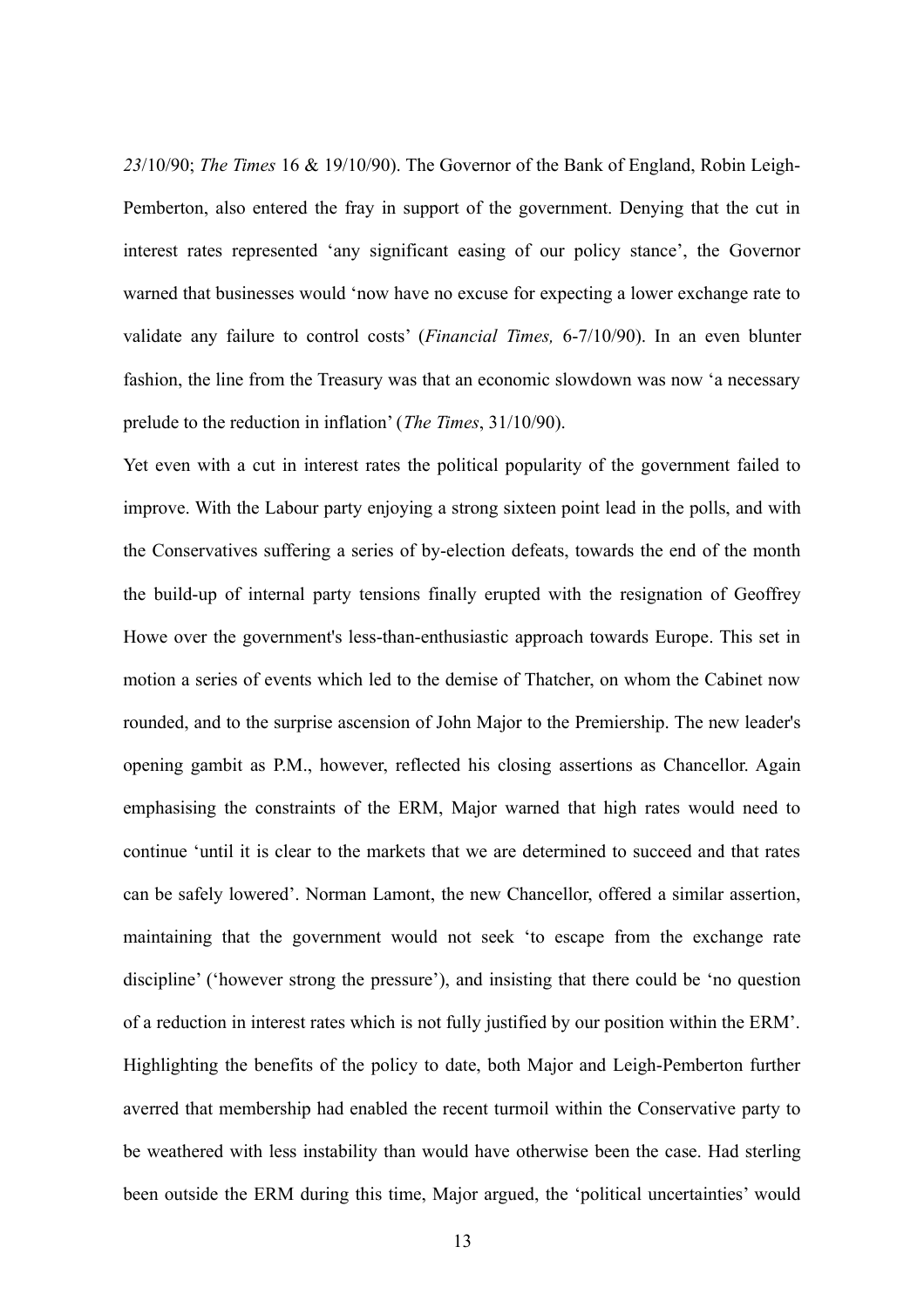*23*/10/90; *The Times* 16 & 19/10/90). The Governor of the Bank of England, Robin Leigh-Pemberton, also entered the fray in support of the government. Denying that the cut in interest rates represented 'any significant easing of our policy stance', the Governor warned that businesses would 'now have no excuse for expecting a lower exchange rate to validate any failure to control costs' (*Financial Times,* 6-7/10/90). In an even blunter fashion, the line from the Treasury was that an economic slowdown was now 'a necessary prelude to the reduction in inflation' (*The Times*, 31/10/90).

Yet even with a cut in interest rates the political popularity of the government failed to improve. With the Labour party enjoying a strong sixteen point lead in the polls, and with the Conservatives suffering a series of by-election defeats, towards the end of the month the build-up of internal party tensions finally erupted with the resignation of Geoffrey Howe over the government's less-than-enthusiastic approach towards Europe. This set in motion a series of events which led to the demise of Thatcher, on whom the Cabinet now rounded, and to the surprise ascension of John Major to the Premiership. The new leader's opening gambit as P.M., however, reflected his closing assertions as Chancellor. Again emphasising the constraints of the ERM, Major warned that high rates would need to continue 'until it is clear to the markets that we are determined to succeed and that rates can be safely lowered'. Norman Lamont, the new Chancellor, offered a similar assertion, maintaining that the government would not seek 'to escape from the exchange rate discipline' ('however strong the pressure'), and insisting that there could be 'no question of a reduction in interest rates which is not fully justified by our position within the ERM'. Highlighting the benefits of the policy to date, both Major and Leigh-Pemberton further averred that membership had enabled the recent turmoil within the Conservative party to be weathered with less instability than would have otherwise been the case. Had sterling been outside the ERM during this time, Major argued, the 'political uncertainties' would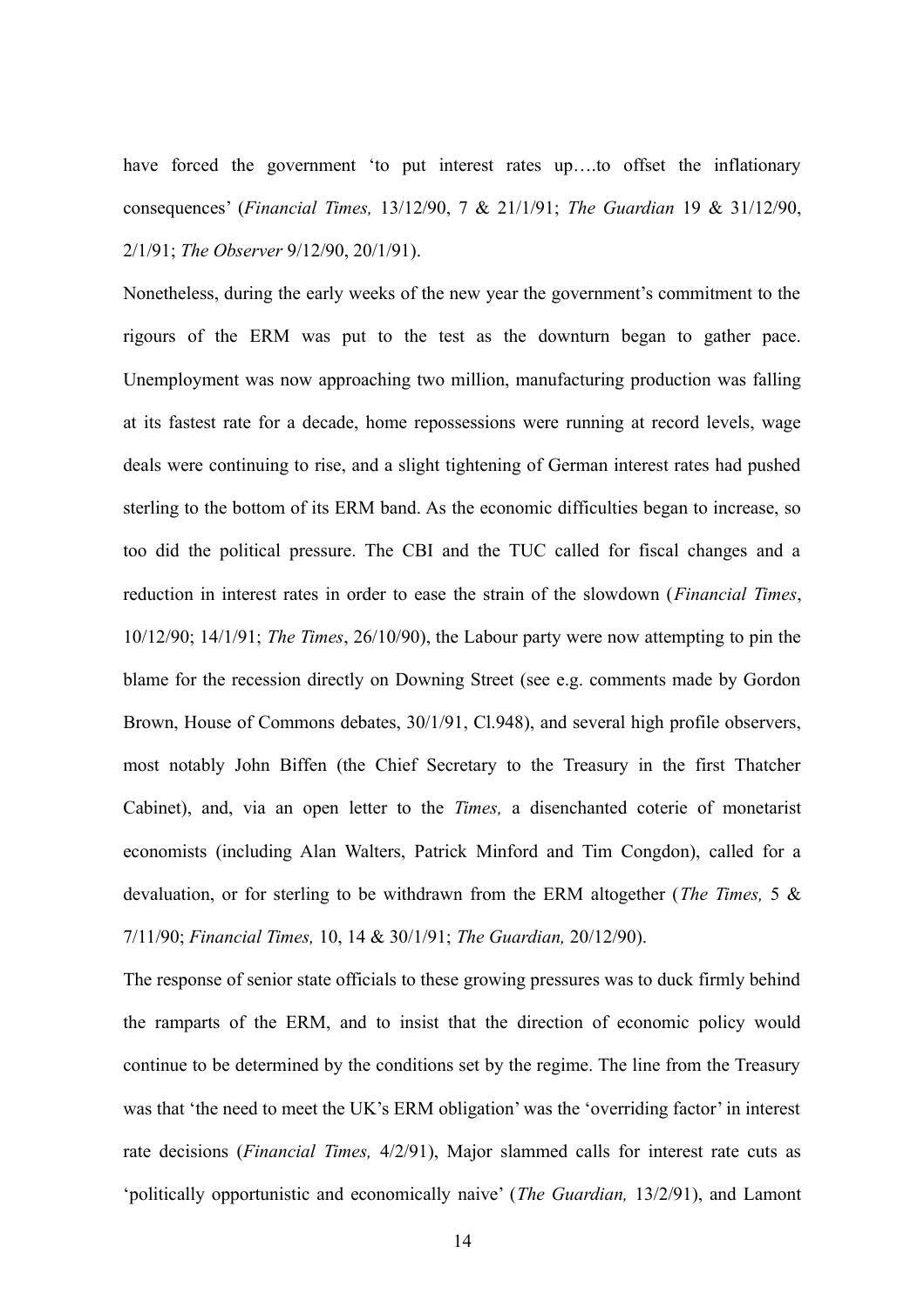have forced the government 'to put interest rates up...to offset the inflationary consequences' (*Financial Times,* 13/12/90, 7 & 21/1/91; *The Guardian* 19 & 31/12/90, 2/1/91; *The Observer* 9/12/90, 20/1/91).

Nonetheless, during the early weeks of the new year the government's commitment to the rigours of the ERM was put to the test as the downturn began to gather pace. Unemployment was now approaching two million, manufacturing production was falling at its fastest rate for a decade, home repossessions were running at record levels, wage deals were continuing to rise, and a slight tightening of German interest rates had pushed sterling to the bottom of its ERM band. As the economic difficulties began to increase, so too did the political pressure. The CBI and the TUC called for fiscal changes and a reduction in interest rates in order to ease the strain of the slowdown (*Financial Times*, 10/12/90; 14/1/91; *The Times*, 26/10/90), the Labour party were now attempting to pin the blame for the recession directly on Downing Street (see e.g. comments made by Gordon Brown, House of Commons debates,  $30/1/91$ , Cl.948), and several high profile observers, most notably John Biffen (the Chief Secretary to the Treasury in the first Thatcher Cabinet), and, via an open letter to the *Times,* a disenchanted coterie of monetarist economists (including Alan Walters, Patrick Minford and Tim Congdon), called for a devaluation, or for sterling to be withdrawn from the ERM altogether (*The Times,* 5 & 7/11/90; *Financial Times,* 10, 14 & 30/1/91; *The Guardian,* 20/12/90).

The response of senior state officials to these growing pressures was to duck firmly behind the ramparts of the ERM, and to insist that the direction of economic policy would continue to be determined by the conditions set by the regime. The line from the Treasury was that 'the need to meet the UK's ERM obligation' was the 'overriding factor' in interest rate decisions (*Financial Times,* 4/2/91), Major slammed calls for interest rate cuts as 'politically opportunistic and economically naive' (*The Guardian,* 13/2/91), and Lamont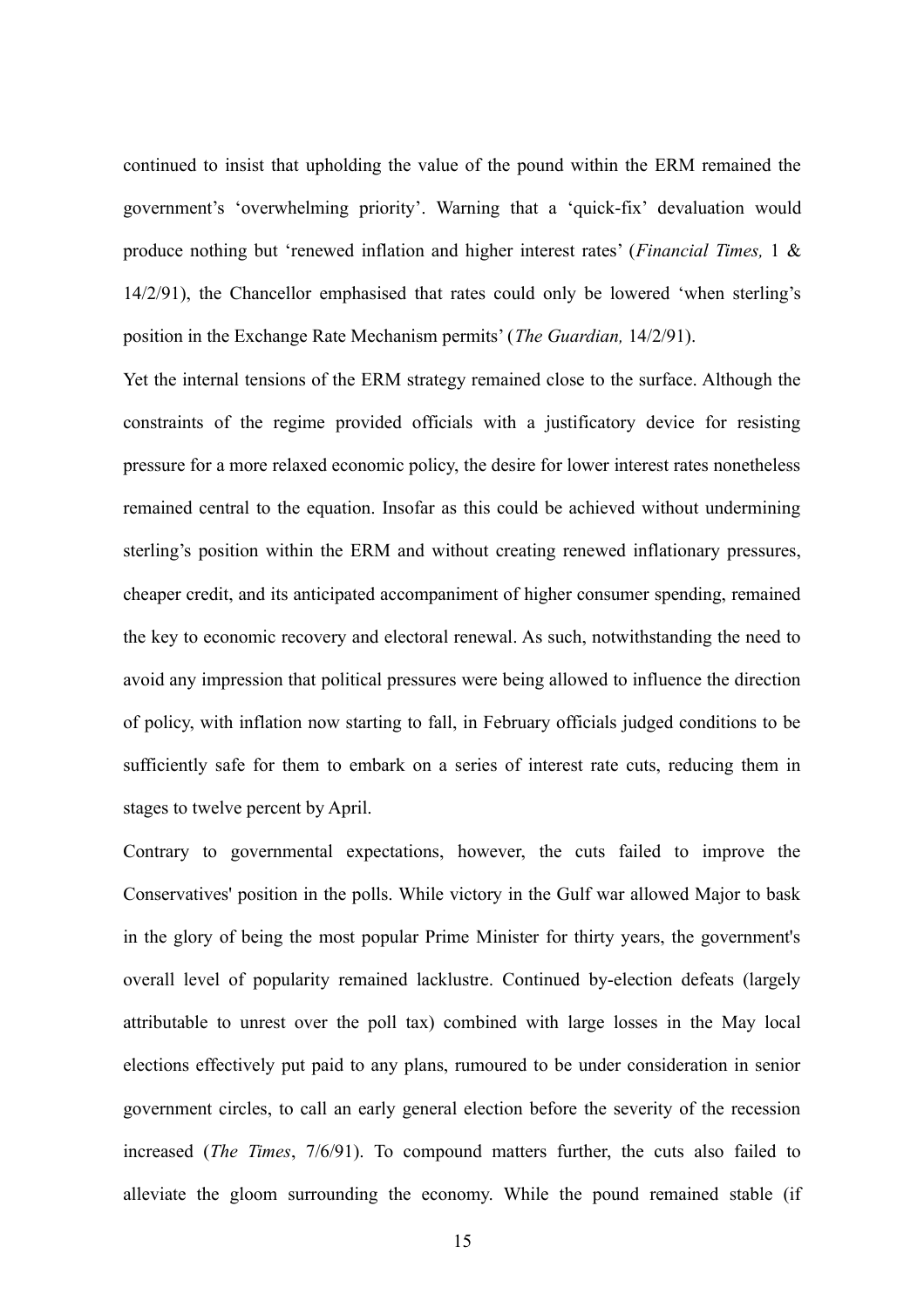continued to insist that upholding the value of the pound within the ERM remained the government's 'overwhelming priority'. Warning that a 'quick-fix' devaluation would produce nothing but 'renewed inflation and higher interest rates' (*Financial Times,* 1 & 14/2/91), the Chancellor emphasised that rates could only be lowered 'when sterling's position in the Exchange Rate Mechanism permits' (*The Guardian,* 14/2/91).

Yet the internal tensions of the ERM strategy remained close to the surface. Although the constraints of the regime provided officials with a justificatory device for resisting pressure for a more relaxed economic policy, the desire for lower interest rates nonetheless remained central to the equation. Insofar as this could be achieved without undermining sterling's position within the ERM and without creating renewed inflationary pressures, cheaper credit, and its anticipated accompaniment of higher consumer spending, remained the key to economic recovery and electoral renewal. As such, notwithstanding the need to avoid any impression that political pressures were being allowed to influence the direction of policy, with inflation now starting to fall, in February officials judged conditions to be sufficiently safe for them to embark on a series of interest rate cuts, reducing them in stages to twelve percent by April.

Contrary to governmental expectations, however, the cuts failed to improve the Conservatives' position in the polls. While victory in the Gulf war allowed Major to bask in the glory of being the most popular Prime Minister for thirty years, the government's overall level of popularity remained lacklustre. Continued by-election defeats (largely attributable to unrest over the poll tax) combined with large losses in the May local elections effectively put paid to any plans, rumoured to be under consideration in senior government circles, to call an early general election before the severity of the recession increased (*The Times*, 7/6/91). To compound matters further, the cuts also failed to alleviate the gloom surrounding the economy. While the pound remained stable (if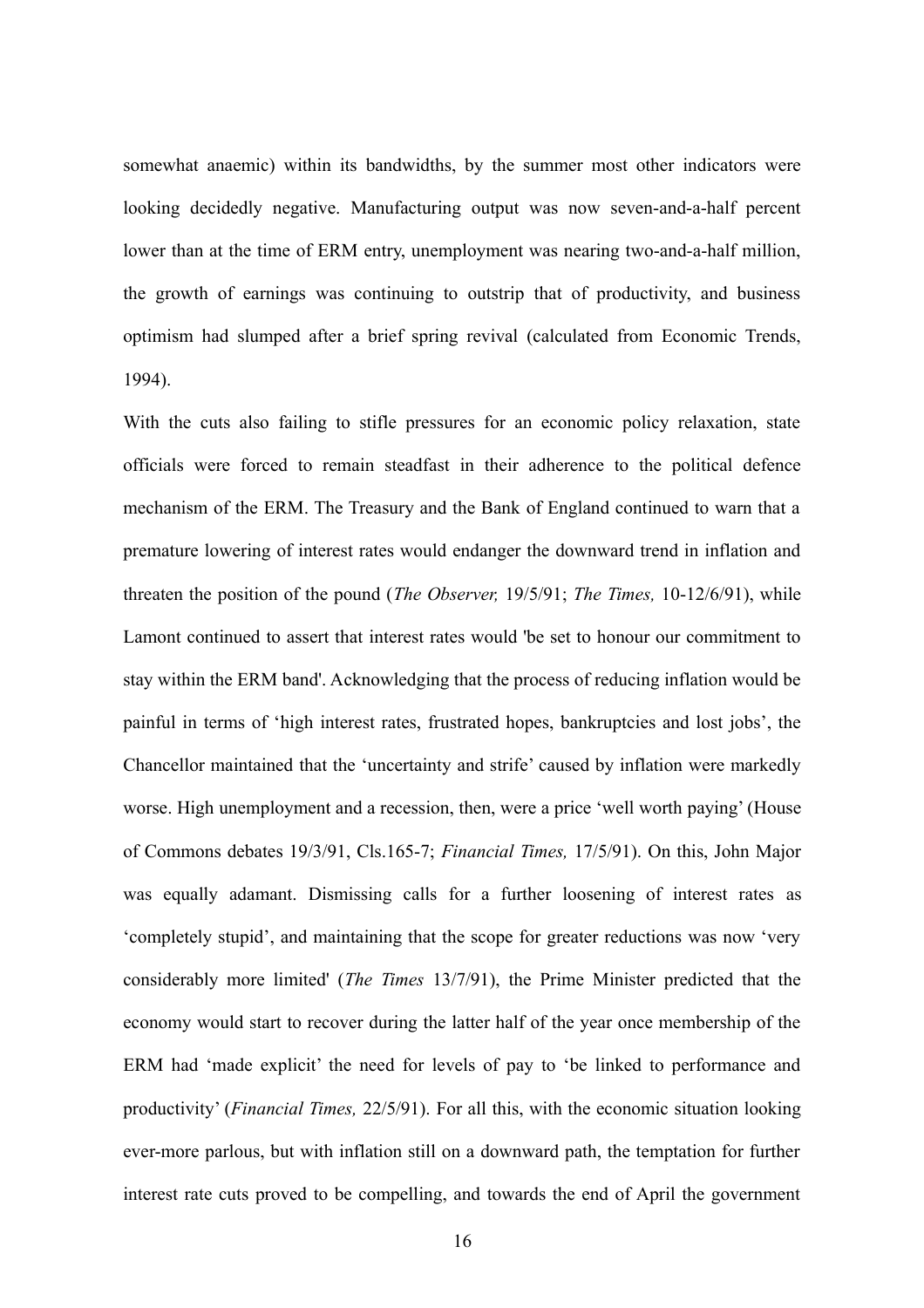somewhat anaemic) within its bandwidths, by the summer most other indicators were looking decidedly negative. Manufacturing output was now seven-and-a-half percent lower than at the time of ERM entry, unemployment was nearing two-and-a-half million, the growth of earnings was continuing to outstrip that of productivity, and business optimism had slumped after a brief spring revival (calculated from Economic Trends, 1994).

With the cuts also failing to stifle pressures for an economic policy relaxation, state officials were forced to remain steadfast in their adherence to the political defence mechanism of the ERM. The Treasury and the Bank of England continued to warn that a premature lowering of interest rates would endanger the downward trend in inflation and threaten the position of the pound (*The Observer,* 19/5/91; *The Times,* 10-12/6/91), while Lamont continued to assert that interest rates would 'be set to honour our commitment to stay within the ERM band'. Acknowledging that the process of reducing inflation would be painful in terms of 'high interest rates, frustrated hopes, bankruptcies and lost jobs', the Chancellor maintained that the 'uncertainty and strife' caused by inflation were markedly worse. High unemployment and a recession, then, were a price 'well worth paying' (House of Commons debates 19/3/91, Cls.165-7; *Financial Times,* 17/5/91). On this, John Major was equally adamant. Dismissing calls for a further loosening of interest rates as 'completely stupid', and maintaining that the scope for greater reductions was now 'very considerably more limited' (*The Times* 13/7/91), the Prime Minister predicted that the economy would start to recover during the latter half of the year once membership of the ERM had 'made explicit' the need for levels of pay to 'be linked to performance and productivity' (*Financial Times,* 22/5/91). For all this, with the economic situation looking ever-more parlous, but with inflation still on a downward path, the temptation for further interest rate cuts proved to be compelling, and towards the end of April the government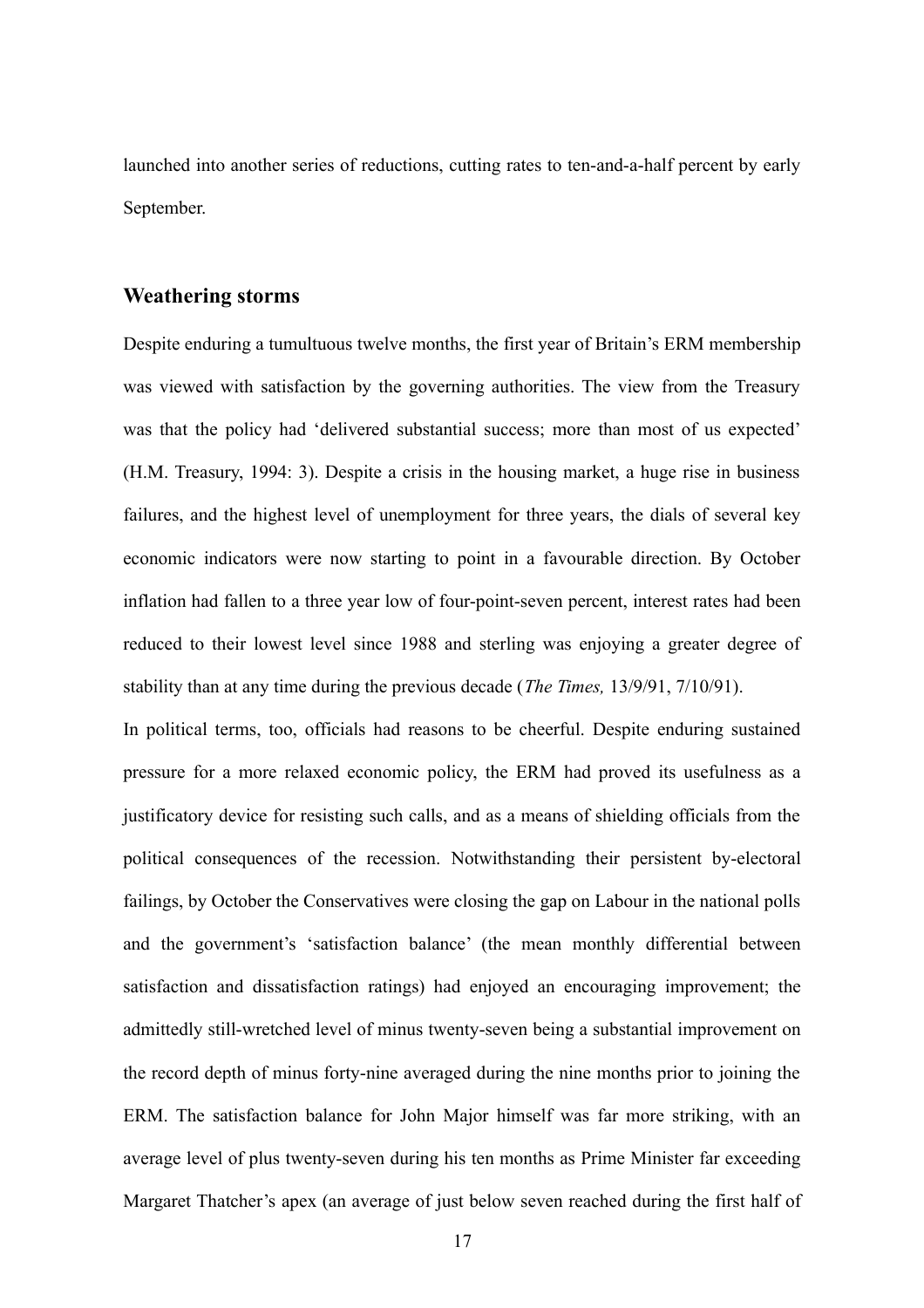launched into another series of reductions, cutting rates to ten-and-a-half percent by early September.

## **Weathering storms**

Despite enduring a tumultuous twelve months, the first year of Britain's ERM membership was viewed with satisfaction by the governing authorities. The view from the Treasury was that the policy had 'delivered substantial success; more than most of us expected' (H.M. Treasury, 1994: 3). Despite a crisis in the housing market, a huge rise in business failures, and the highest level of unemployment for three years, the dials of several key economic indicators were now starting to point in a favourable direction. By October inflation had fallen to a three year low of four-point-seven percent, interest rates had been reduced to their lowest level since 1988 and sterling was enjoying a greater degree of stability than at any time during the previous decade (*The Times,* 13/9/91, 7/10/91).

In political terms, too, officials had reasons to be cheerful. Despite enduring sustained pressure for a more relaxed economic policy, the ERM had proved its usefulness as a justificatory device for resisting such calls, and as a means of shielding officials from the political consequences of the recession. Notwithstanding their persistent by-electoral failings, by October the Conservatives were closing the gap on Labour in the national polls and the government's 'satisfaction balance' (the mean monthly differential between satisfaction and dissatisfaction ratings) had enjoyed an encouraging improvement; the admittedly still-wretched level of minus twenty-seven being a substantial improvement on the record depth of minus forty-nine averaged during the nine months prior to joining the ERM. The satisfaction balance for John Major himself was far more striking, with an average level of plus twenty-seven during his ten months as Prime Minister far exceeding Margaret Thatcher's apex (an average of just below seven reached during the first half of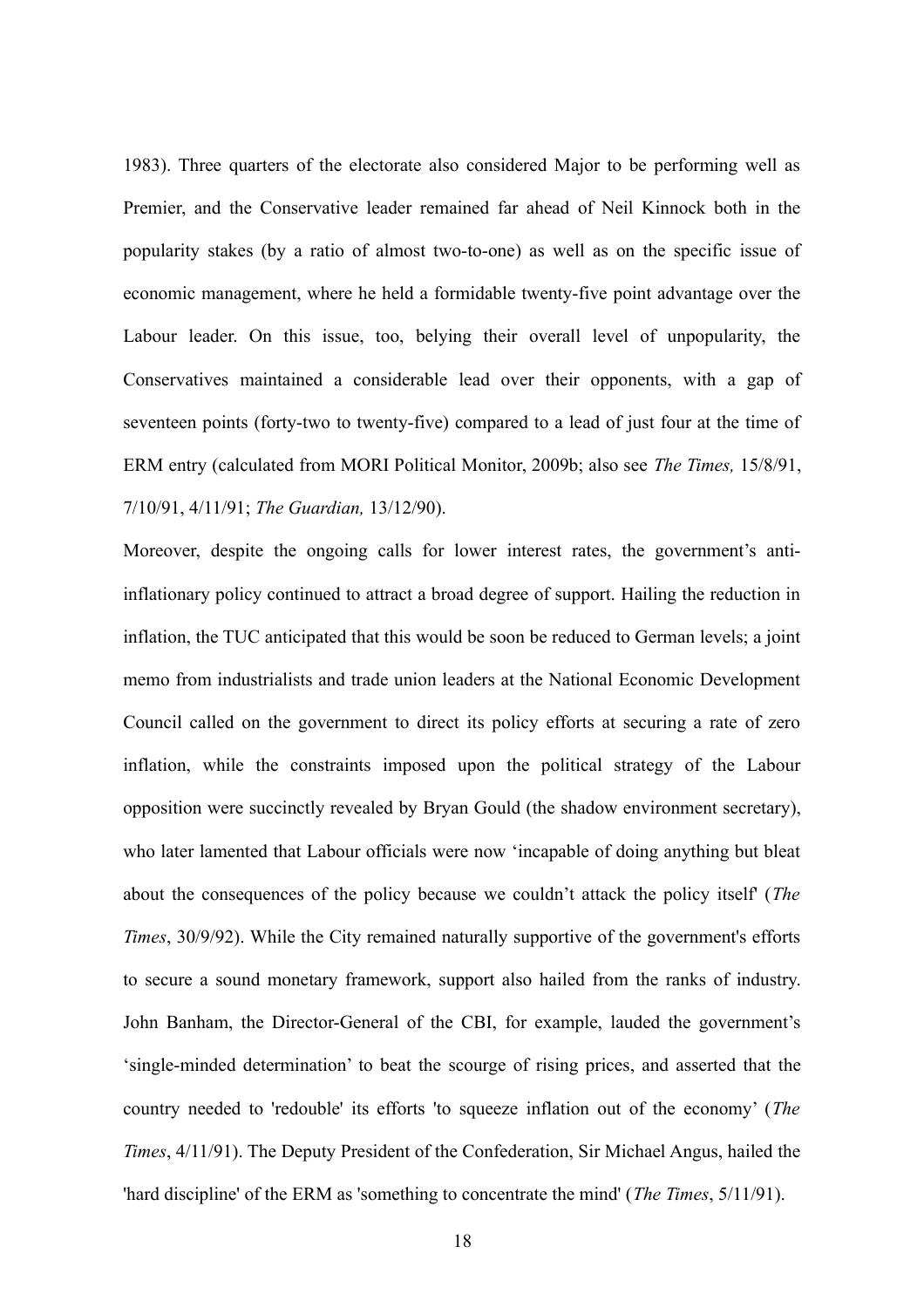1983). Three quarters of the electorate also considered Major to be performing well as Premier, and the Conservative leader remained far ahead of Neil Kinnock both in the popularity stakes (by a ratio of almost two-to-one) as well as on the specific issue of economic management, where he held a formidable twenty-five point advantage over the Labour leader. On this issue, too, belying their overall level of unpopularity, the Conservatives maintained a considerable lead over their opponents, with a gap of seventeen points (forty-two to twenty-five) compared to a lead of just four at the time of ERM entry (calculated from MORI Political Monitor, 2009b; also see *The Times,* 15/8/91, 7/10/91, 4/11/91; *The Guardian,* 13/12/90).

Moreover, despite the ongoing calls for lower interest rates, the government's antiinflationary policy continued to attract a broad degree of support. Hailing the reduction in inflation, the TUC anticipated that this would be soon be reduced to German levels; a joint memo from industrialists and trade union leaders at the National Economic Development Council called on the government to direct its policy efforts at securing a rate of zero inflation, while the constraints imposed upon the political strategy of the Labour opposition were succinctly revealed by Bryan Gould (the shadow environment secretary), who later lamented that Labour officials were now 'incapable of doing anything but bleat about the consequences of the policy because we couldn't attack the policy itself' (*The Times*, 30/9/92). While the City remained naturally supportive of the government's efforts to secure a sound monetary framework, support also hailed from the ranks of industry. John Banham, the Director-General of the CBI, for example, lauded the government's 'single-minded determination' to beat the scourge of rising prices, and asserted that the country needed to 'redouble' its efforts 'to squeeze inflation out of the economy' (*The Times*, 4/11/91). The Deputy President of the Confederation, Sir Michael Angus, hailed the 'hard discipline' of the ERM as 'something to concentrate the mind' (*The Times*, 5/11/91).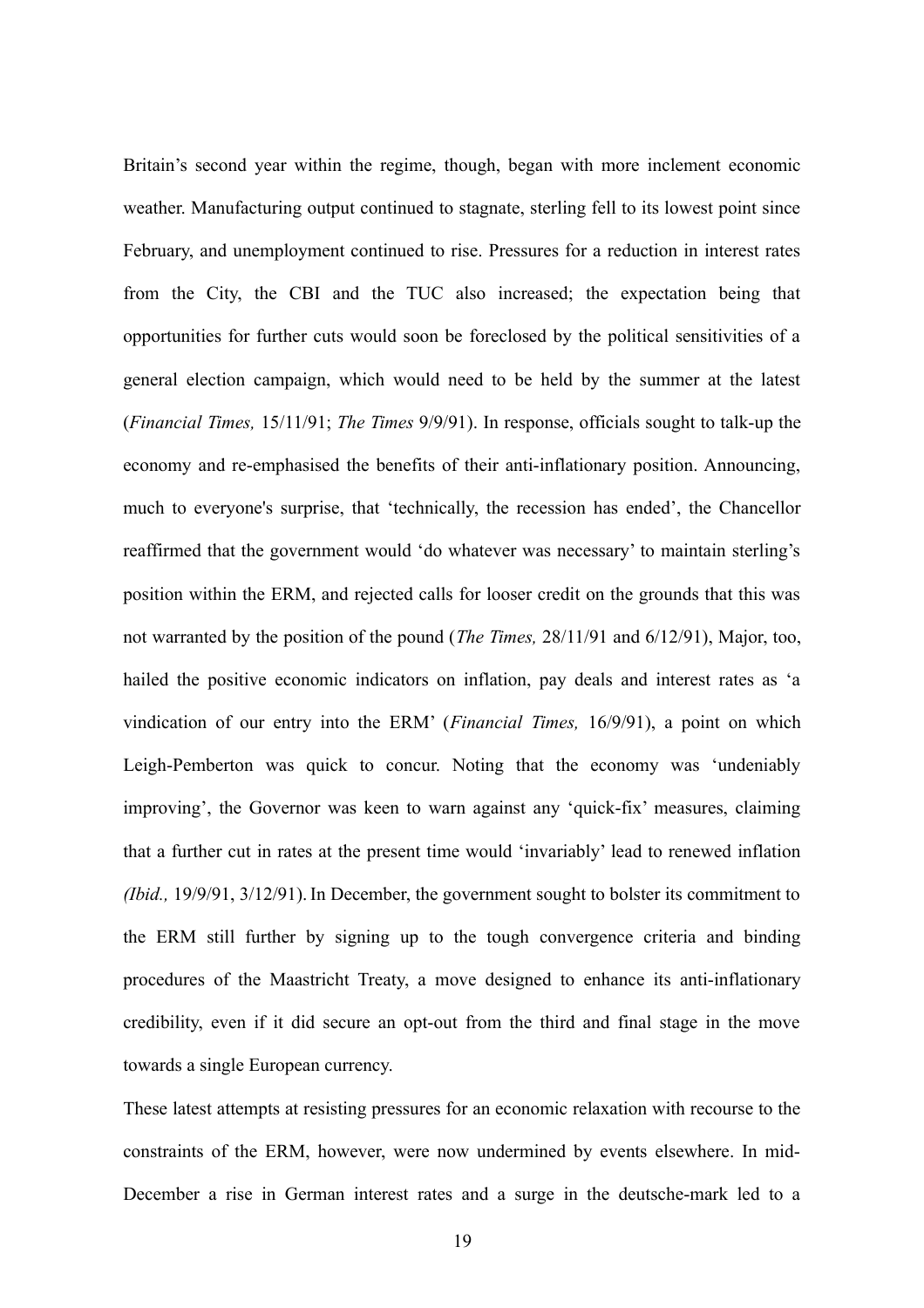Britain's second year within the regime, though, began with more inclement economic weather. Manufacturing output continued to stagnate, sterling fell to its lowest point since February, and unemployment continued to rise. Pressures for a reduction in interest rates from the City, the CBI and the TUC also increased; the expectation being that opportunities for further cuts would soon be foreclosed by the political sensitivities of a general election campaign, which would need to be held by the summer at the latest (*Financial Times,* 15/11/91; *The Times* 9/9/91). In response, officials sought to talk-up the economy and re-emphasised the benefits of their anti-inflationary position. Announcing, much to everyone's surprise, that 'technically, the recession has ended', the Chancellor reaffirmed that the government would 'do whatever was necessary' to maintain sterling's position within the ERM, and rejected calls for looser credit on the grounds that this was not warranted by the position of the pound (*The Times,* 28/11/91 and 6/12/91), Major, too, hailed the positive economic indicators on inflation, pay deals and interest rates as 'a vindication of our entry into the ERM' (*Financial Times,* 16/9/91), a point on which Leigh-Pemberton was quick to concur. Noting that the economy was 'undeniably improving', the Governor was keen to warn against any 'quick-fix' measures, claiming that a further cut in rates at the present time would 'invariably' lead to renewed inflation *(Ibid.,* 19/9/91, 3/12/91).In December, the government sought to bolster its commitment to the ERM still further by signing up to the tough convergence criteria and binding procedures of the Maastricht Treaty, a move designed to enhance its anti-inflationary credibility, even if it did secure an opt-out from the third and final stage in the move towards a single European currency.

These latest attempts at resisting pressures for an economic relaxation with recourse to the constraints of the ERM, however, were now undermined by events elsewhere. In mid-December a rise in German interest rates and a surge in the deutsche-mark led to a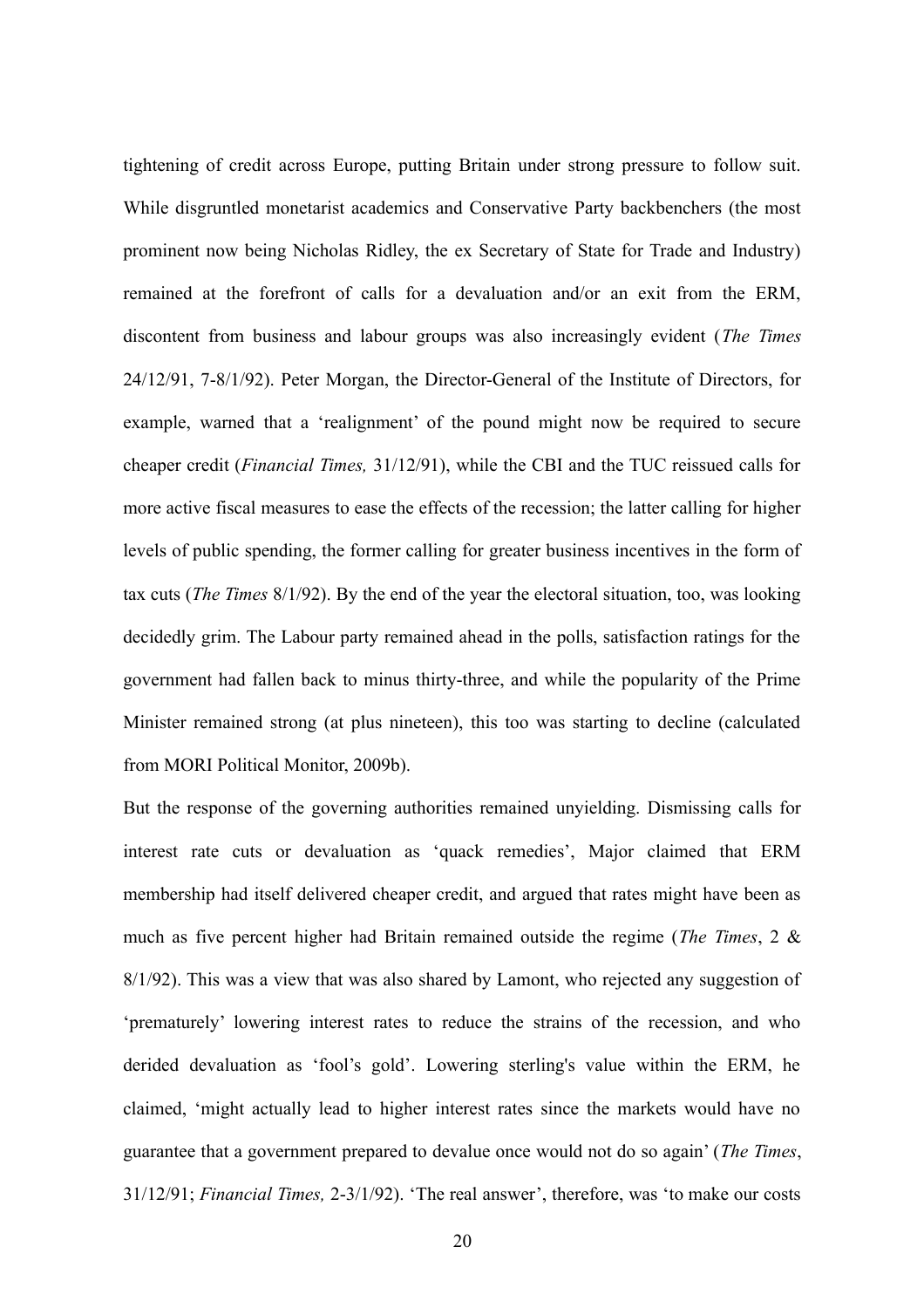tightening of credit across Europe, putting Britain under strong pressure to follow suit. While disgruntled monetarist academics and Conservative Party backbenchers (the most prominent now being Nicholas Ridley, the ex Secretary of State for Trade and Industry) remained at the forefront of calls for a devaluation and/or an exit from the ERM, discontent from business and labour groups was also increasingly evident (*The Times* 24/12/91, 7-8/1/92). Peter Morgan, the Director-General of the Institute of Directors, for example, warned that a 'realignment' of the pound might now be required to secure cheaper credit (*Financial Times,* 31/12/91), while the CBI and the TUC reissued calls for more active fiscal measures to ease the effects of the recession; the latter calling for higher levels of public spending, the former calling for greater business incentives in the form of tax cuts (*The Times* 8/1/92). By the end of the year the electoral situation, too, was looking decidedly grim. The Labour party remained ahead in the polls, satisfaction ratings for the government had fallen back to minus thirty-three, and while the popularity of the Prime Minister remained strong (at plus nineteen), this too was starting to decline (calculated from MORI Political Monitor, 2009b).

But the response of the governing authorities remained unyielding. Dismissing calls for interest rate cuts or devaluation as 'quack remedies', Major claimed that ERM membership had itself delivered cheaper credit, and argued that rates might have been as much as five percent higher had Britain remained outside the regime (*The Times*, 2 & 8/1/92). This was a view that was also shared by Lamont, who rejected any suggestion of 'prematurely' lowering interest rates to reduce the strains of the recession, and who derided devaluation as 'fool's gold'. Lowering sterling's value within the ERM, he claimed, 'might actually lead to higher interest rates since the markets would have no guarantee that a government prepared to devalue once would not do so again' (*The Times*, 31/12/91; *Financial Times,* 2-3/1/92). 'The real answer', therefore, was 'to make our costs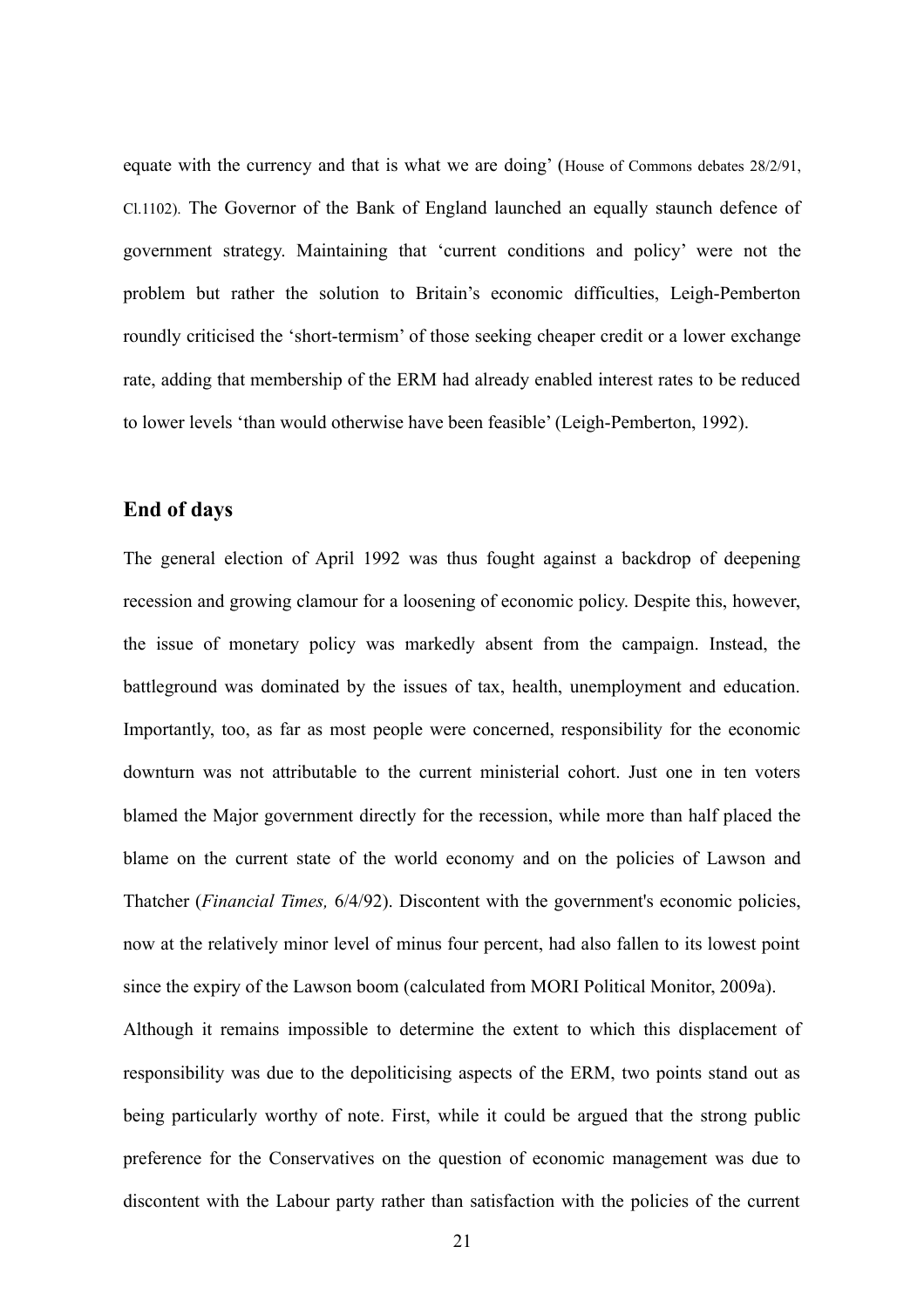equate with the currency and that is what we are doing' (House of Commons debates 28/2/91, Cl.1102). The Governor of the Bank of England launched an equally staunch defence of government strategy. Maintaining that 'current conditions and policy' were not the problem but rather the solution to Britain's economic difficulties, Leigh-Pemberton roundly criticised the 'short-termism' of those seeking cheaper credit or a lower exchange rate, adding that membership of the ERM had already enabled interest rates to be reduced to lower levels 'than would otherwise have been feasible' (Leigh-Pemberton, 1992).

## **End of days**

The general election of April 1992 was thus fought against a backdrop of deepening recession and growing clamour for a loosening of economic policy. Despite this, however, the issue of monetary policy was markedly absent from the campaign. Instead, the battleground was dominated by the issues of tax, health, unemployment and education. Importantly, too, as far as most people were concerned, responsibility for the economic downturn was not attributable to the current ministerial cohort. Just one in ten voters blamed the Major government directly for the recession, while more than half placed the blame on the current state of the world economy and on the policies of Lawson and Thatcher (*Financial Times,* 6/4/92). Discontent with the government's economic policies, now at the relatively minor level of minus four percent, had also fallen to its lowest point since the expiry of the Lawson boom (calculated from MORI Political Monitor, 2009a).

Although it remains impossible to determine the extent to which this displacement of responsibility was due to the depoliticising aspects of the ERM, two points stand out as being particularly worthy of note. First, while it could be argued that the strong public preference for the Conservatives on the question of economic management was due to discontent with the Labour party rather than satisfaction with the policies of the current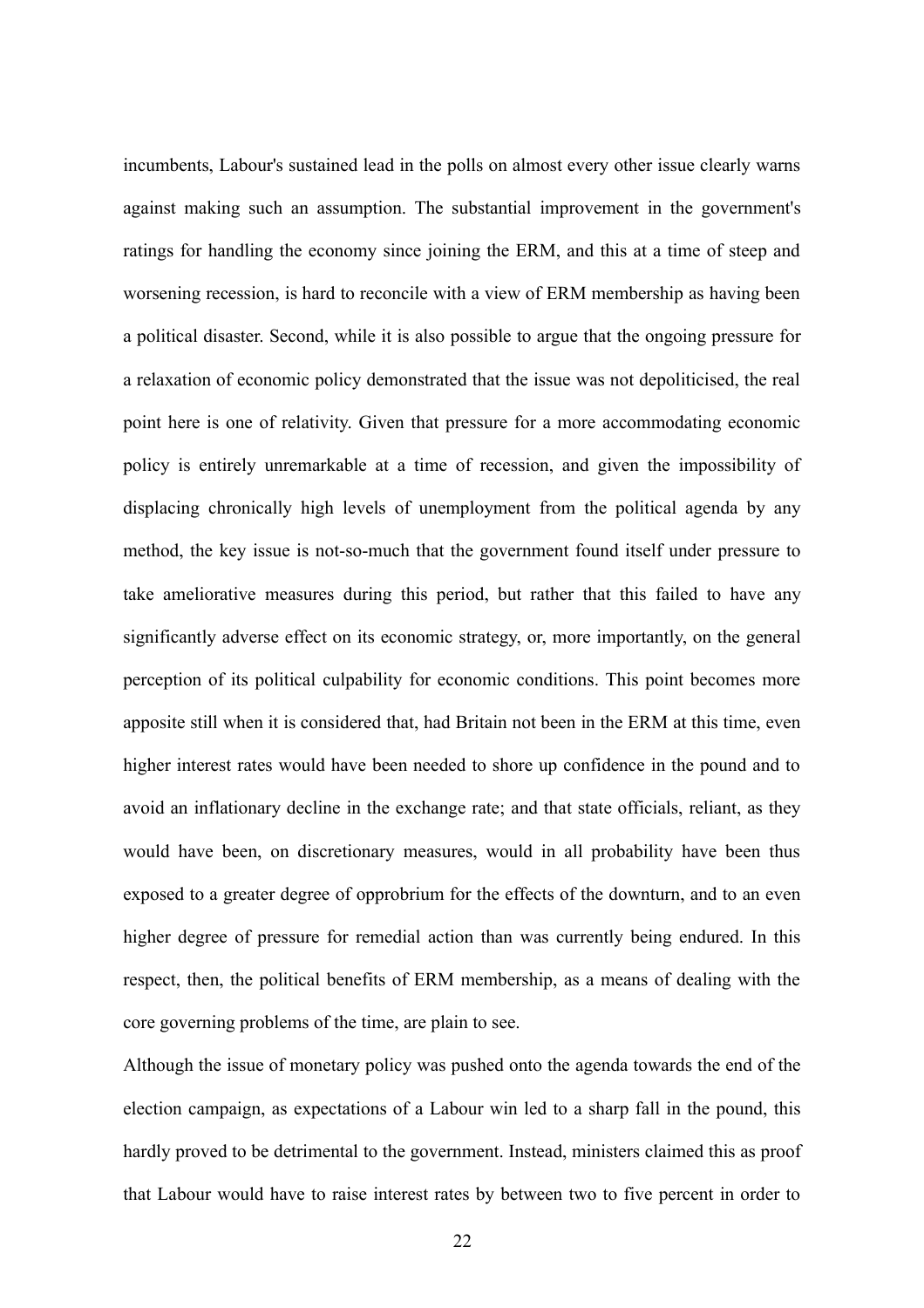incumbents, Labour's sustained lead in the polls on almost every other issue clearly warns against making such an assumption. The substantial improvement in the government's ratings for handling the economy since joining the ERM, and this at a time of steep and worsening recession, is hard to reconcile with a view of ERM membership as having been a political disaster. Second, while it is also possible to argue that the ongoing pressure for a relaxation of economic policy demonstrated that the issue was not depoliticised, the real point here is one of relativity. Given that pressure for a more accommodating economic policy is entirely unremarkable at a time of recession, and given the impossibility of displacing chronically high levels of unemployment from the political agenda by any method, the key issue is not-so-much that the government found itself under pressure to take ameliorative measures during this period, but rather that this failed to have any significantly adverse effect on its economic strategy, or, more importantly, on the general perception of its political culpability for economic conditions. This point becomes more apposite still when it is considered that, had Britain not been in the ERM at this time, even higher interest rates would have been needed to shore up confidence in the pound and to avoid an inflationary decline in the exchange rate; and that state officials, reliant, as they would have been, on discretionary measures, would in all probability have been thus exposed to a greater degree of opprobrium for the effects of the downturn, and to an even higher degree of pressure for remedial action than was currently being endured. In this respect, then, the political benefits of ERM membership, as a means of dealing with the core governing problems of the time, are plain to see.

Although the issue of monetary policy was pushed onto the agenda towards the end of the election campaign, as expectations of a Labour win led to a sharp fall in the pound, this hardly proved to be detrimental to the government. Instead, ministers claimed this as proof that Labour would have to raise interest rates by between two to five percent in order to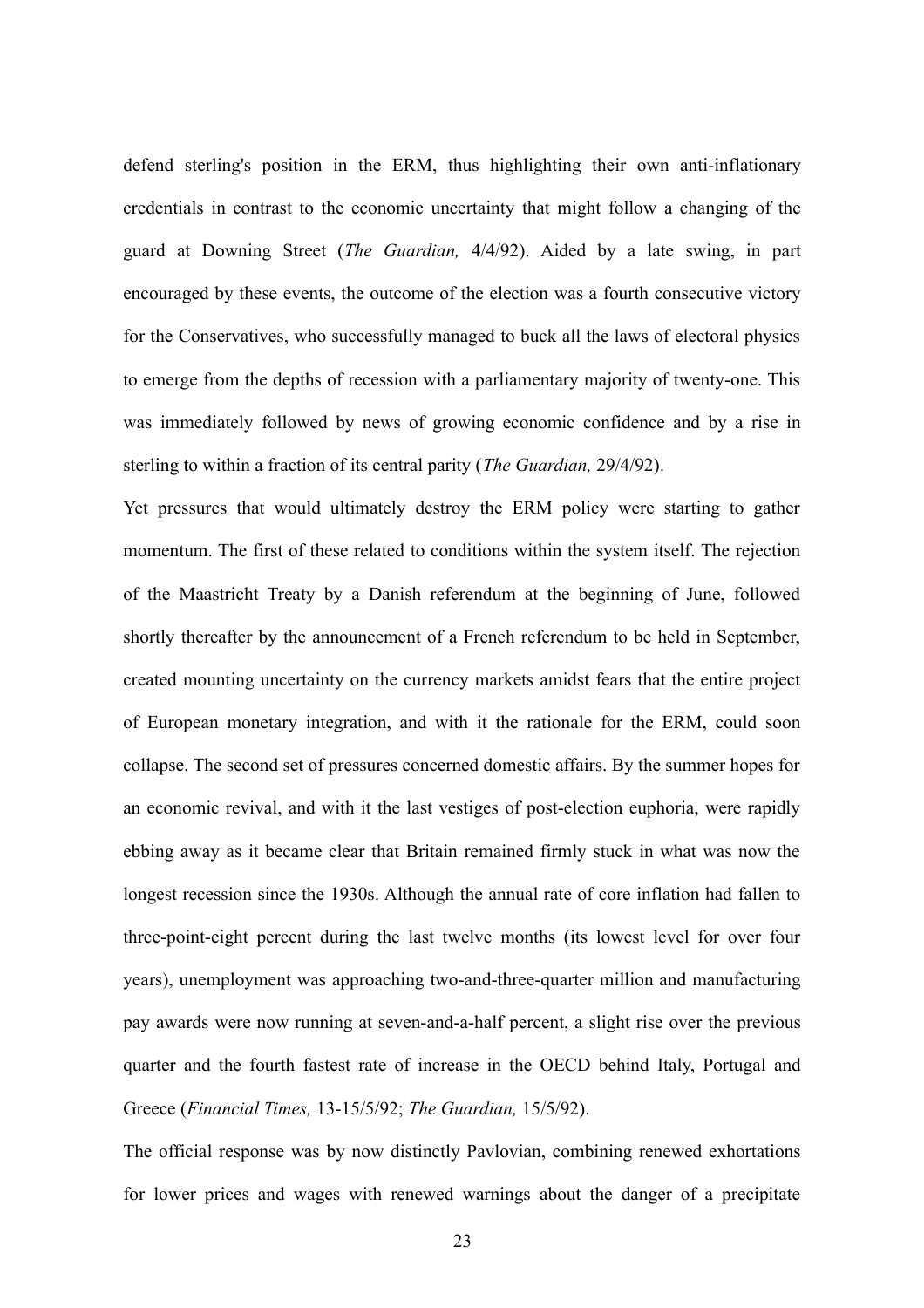defend sterling's position in the ERM, thus highlighting their own anti-inflationary credentials in contrast to the economic uncertainty that might follow a changing of the guard at Downing Street (*The Guardian,* 4/4/92). Aided by a late swing, in part encouraged by these events, the outcome of the election was a fourth consecutive victory for the Conservatives, who successfully managed to buck all the laws of electoral physics to emerge from the depths of recession with a parliamentary majority of twenty-one. This was immediately followed by news of growing economic confidence and by a rise in sterling to within a fraction of its central parity (*The Guardian,* 29/4/92).

Yet pressures that would ultimately destroy the ERM policy were starting to gather momentum. The first of these related to conditions within the system itself. The rejection of the Maastricht Treaty by a Danish referendum at the beginning of June, followed shortly thereafter by the announcement of a French referendum to be held in September, created mounting uncertainty on the currency markets amidst fears that the entire project of European monetary integration, and with it the rationale for the ERM, could soon collapse. The second set of pressures concerned domestic affairs. By the summer hopes for an economic revival, and with it the last vestiges of post-election euphoria, were rapidly ebbing away as it became clear that Britain remained firmly stuck in what was now the longest recession since the 1930s. Although the annual rate of core inflation had fallen to three-point-eight percent during the last twelve months (its lowest level for over four years), unemployment was approaching two-and-three-quarter million and manufacturing pay awards were now running at seven-and-a-half percent, a slight rise over the previous quarter and the fourth fastest rate of increase in the OECD behind Italy, Portugal and Greece (*Financial Times,* 13-15/5/92; *The Guardian,* 15/5/92).

The official response was by now distinctly Pavlovian, combining renewed exhortations for lower prices and wages with renewed warnings about the danger of a precipitate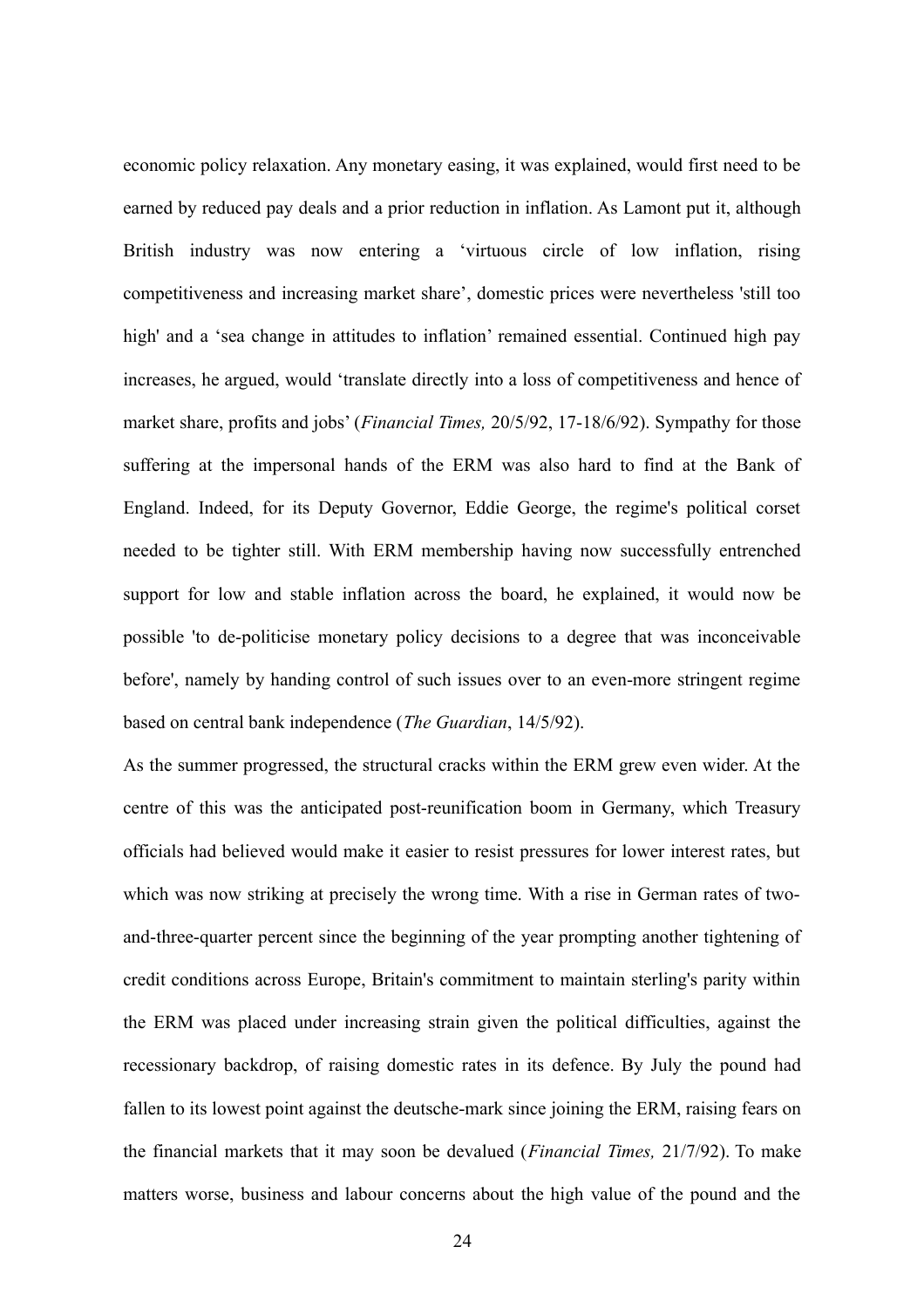economic policy relaxation. Any monetary easing, it was explained, would first need to be earned by reduced pay deals and a prior reduction in inflation. As Lamont put it, although British industry was now entering a 'virtuous circle of low inflation, rising competitiveness and increasing market share', domestic prices were nevertheless 'still too high' and a 'sea change in attitudes to inflation' remained essential. Continued high pay increases, he argued, would 'translate directly into a loss of competitiveness and hence of market share, profits and jobs' (*Financial Times,* 20/5/92, 17-18/6/92). Sympathy for those suffering at the impersonal hands of the ERM was also hard to find at the Bank of England. Indeed, for its Deputy Governor, Eddie George, the regime's political corset needed to be tighter still. With ERM membership having now successfully entrenched support for low and stable inflation across the board, he explained, it would now be possible 'to de-politicise monetary policy decisions to a degree that was inconceivable before', namely by handing control of such issues over to an even-more stringent regime based on central bank independence (*The Guardian*, 14/5/92).

As the summer progressed, the structural cracks within the ERM grew even wider. At the centre of this was the anticipated post-reunification boom in Germany, which Treasury officials had believed would make it easier to resist pressures for lower interest rates, but which was now striking at precisely the wrong time. With a rise in German rates of twoand-three-quarter percent since the beginning of the year prompting another tightening of credit conditions across Europe, Britain's commitment to maintain sterling's parity within the ERM was placed under increasing strain given the political difficulties, against the recessionary backdrop, of raising domestic rates in its defence. By July the pound had fallen to its lowest point against the deutsche-mark since joining the ERM, raising fears on the financial markets that it may soon be devalued (*Financial Times,* 21/7/92). To make matters worse, business and labour concerns about the high value of the pound and the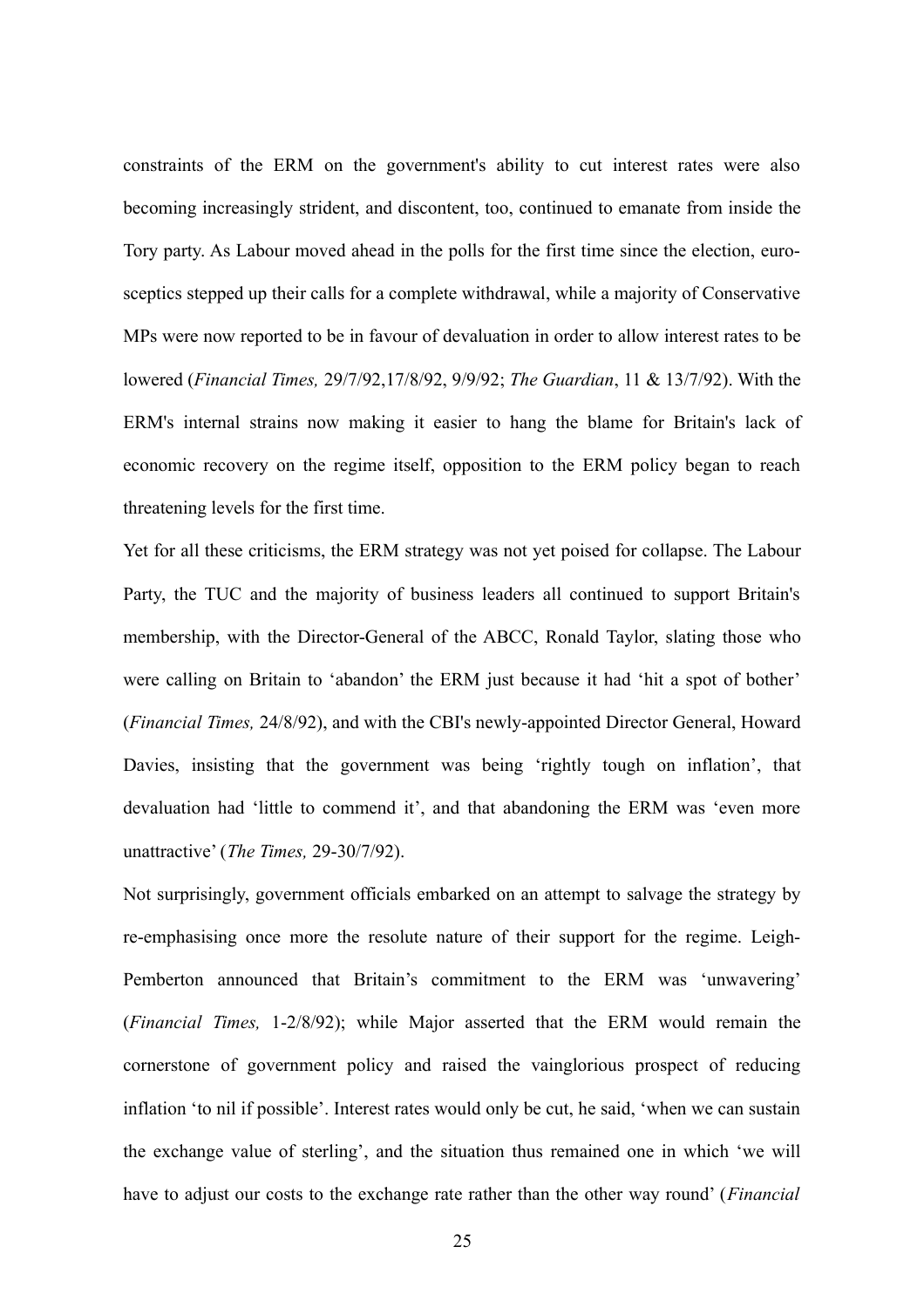constraints of the ERM on the government's ability to cut interest rates were also becoming increasingly strident, and discontent, too, continued to emanate from inside the Tory party. As Labour moved ahead in the polls for the first time since the election, eurosceptics stepped up their calls for a complete withdrawal, while a majority of Conservative MPs were now reported to be in favour of devaluation in order to allow interest rates to be lowered (*Financial Times,* 29/7/92,17/8/92, 9/9/92; *The Guardian*, 11 & 13/7/92). With the ERM's internal strains now making it easier to hang the blame for Britain's lack of economic recovery on the regime itself, opposition to the ERM policy began to reach threatening levels for the first time.

Yet for all these criticisms, the ERM strategy was not yet poised for collapse. The Labour Party, the TUC and the majority of business leaders all continued to support Britain's membership, with the Director-General of the ABCC, Ronald Taylor, slating those who were calling on Britain to 'abandon' the ERM just because it had 'hit a spot of bother' (*Financial Times,* 24/8/92), and with the CBI's newly-appointed Director General, Howard Davies, insisting that the government was being 'rightly tough on inflation', that devaluation had 'little to commend it', and that abandoning the ERM was 'even more unattractive' (*The Times,* 29-30/7/92).

Not surprisingly, government officials embarked on an attempt to salvage the strategy by re-emphasising once more the resolute nature of their support for the regime. Leigh-Pemberton announced that Britain's commitment to the ERM was 'unwavering' (*Financial Times,* 1-2/8/92); while Major asserted that the ERM would remain the cornerstone of government policy and raised the vainglorious prospect of reducing inflation 'to nil if possible'. Interest rates would only be cut, he said, 'when we can sustain the exchange value of sterling', and the situation thus remained one in which 'we will have to adjust our costs to the exchange rate rather than the other way round' (*Financial*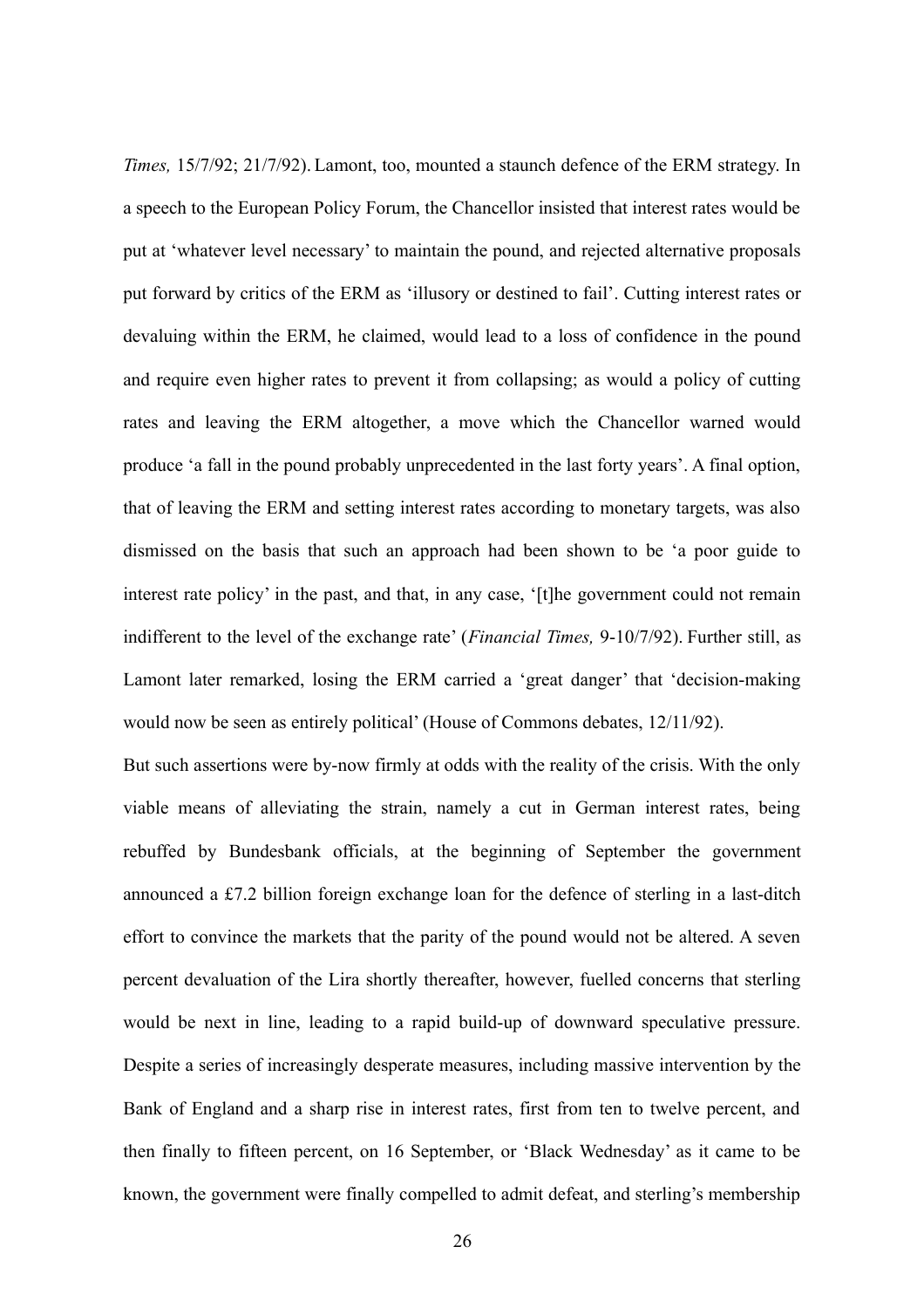*Times,* 15/7/92; 21/7/92). Lamont, too, mounted a staunch defence of the ERM strategy. In a speech to the European Policy Forum, the Chancellor insisted that interest rates would be put at 'whatever level necessary' to maintain the pound, and rejected alternative proposals put forward by critics of the ERM as 'illusory or destined to fail'. Cutting interest rates or devaluing within the ERM, he claimed, would lead to a loss of confidence in the pound and require even higher rates to prevent it from collapsing; as would a policy of cutting rates and leaving the ERM altogether, a move which the Chancellor warned would produce 'a fall in the pound probably unprecedented in the last forty years'. A final option, that of leaving the ERM and setting interest rates according to monetary targets, was also dismissed on the basis that such an approach had been shown to be 'a poor guide to interest rate policy' in the past, and that, in any case, '[t]he government could not remain indifferent to the level of the exchange rate' (*Financial Times,* 9-10/7/92). Further still, as Lamont later remarked, losing the ERM carried a 'great danger' that 'decision-making would now be seen as entirely political' (House of Commons debates, 12/11/92).

But such assertions were by-now firmly at odds with the reality of the crisis. With the only viable means of alleviating the strain, namely a cut in German interest rates, being rebuffed by Bundesbank officials, at the beginning of September the government announced a £7.2 billion foreign exchange loan for the defence of sterling in a last-ditch effort to convince the markets that the parity of the pound would not be altered. A seven percent devaluation of the Lira shortly thereafter, however, fuelled concerns that sterling would be next in line, leading to a rapid build-up of downward speculative pressure. Despite a series of increasingly desperate measures, including massive intervention by the Bank of England and a sharp rise in interest rates, first from ten to twelve percent, and then finally to fifteen percent, on 16 September, or 'Black Wednesday' as it came to be known, the government were finally compelled to admit defeat, and sterling's membership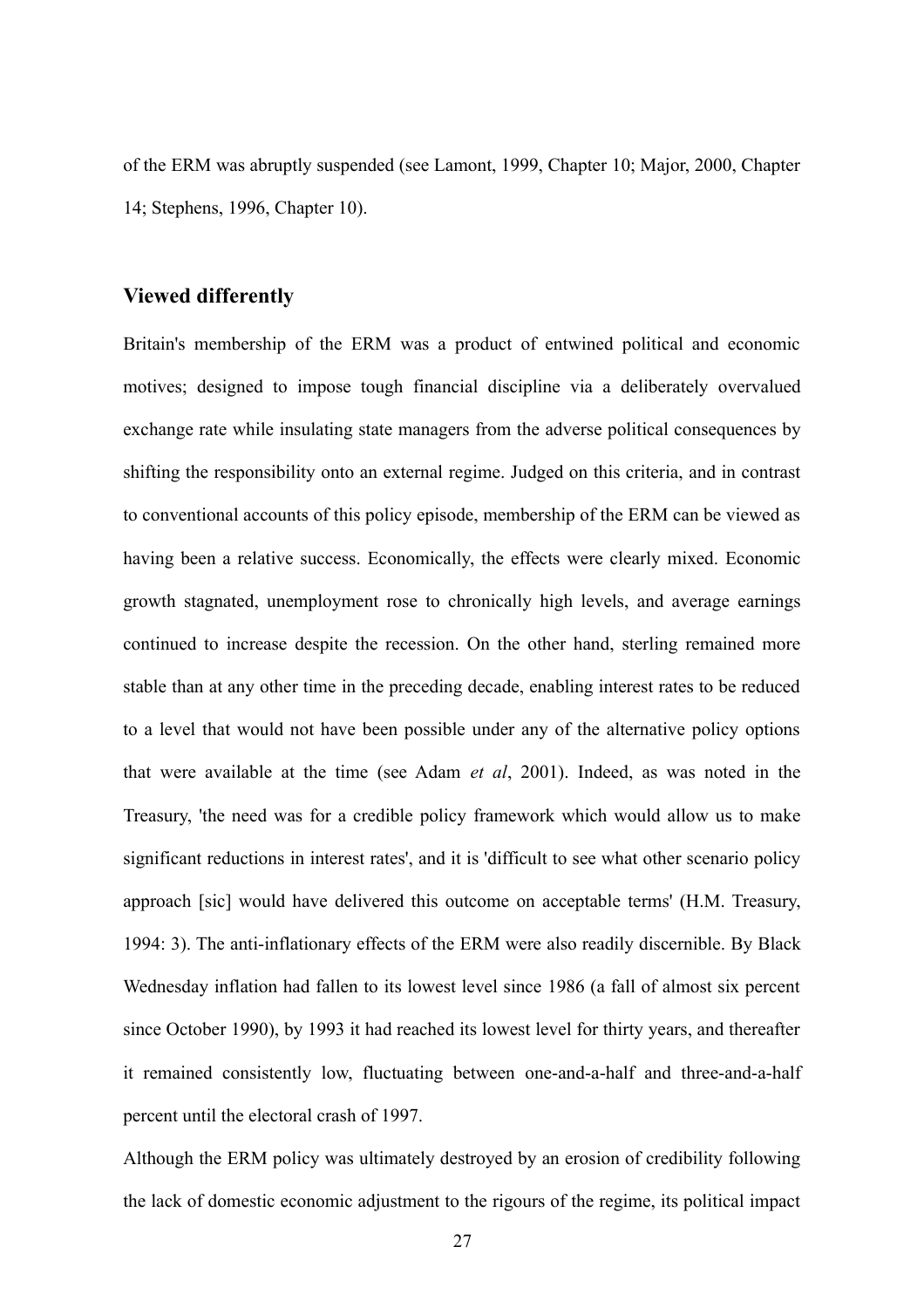of the ERM was abruptly suspended (see Lamont, 1999, Chapter 10; Major, 2000, Chapter 14; Stephens, 1996, Chapter 10).

## **Viewed differently**

Britain's membership of the ERM was a product of entwined political and economic motives; designed to impose tough financial discipline via a deliberately overvalued exchange rate while insulating state managers from the adverse political consequences by shifting the responsibility onto an external regime. Judged on this criteria, and in contrast to conventional accounts of this policy episode, membership of the ERM can be viewed as having been a relative success. Economically, the effects were clearly mixed. Economic growth stagnated, unemployment rose to chronically high levels, and average earnings continued to increase despite the recession. On the other hand, sterling remained more stable than at any other time in the preceding decade, enabling interest rates to be reduced to a level that would not have been possible under any of the alternative policy options that were available at the time (see Adam *et al*, 2001). Indeed, as was noted in the Treasury, 'the need was for a credible policy framework which would allow us to make significant reductions in interest rates', and it is 'difficult to see what other scenario policy approach [sic] would have delivered this outcome on acceptable terms' (H.M. Treasury, 1994: 3). The anti-inflationary effects of the ERM were also readily discernible. By Black Wednesday inflation had fallen to its lowest level since 1986 (a fall of almost six percent since October 1990), by 1993 it had reached its lowest level for thirty years, and thereafter it remained consistently low, fluctuating between one-and-a-half and three-and-a-half percent until the electoral crash of 1997.

Although the ERM policy was ultimately destroyed by an erosion of credibility following the lack of domestic economic adjustment to the rigours of the regime, its political impact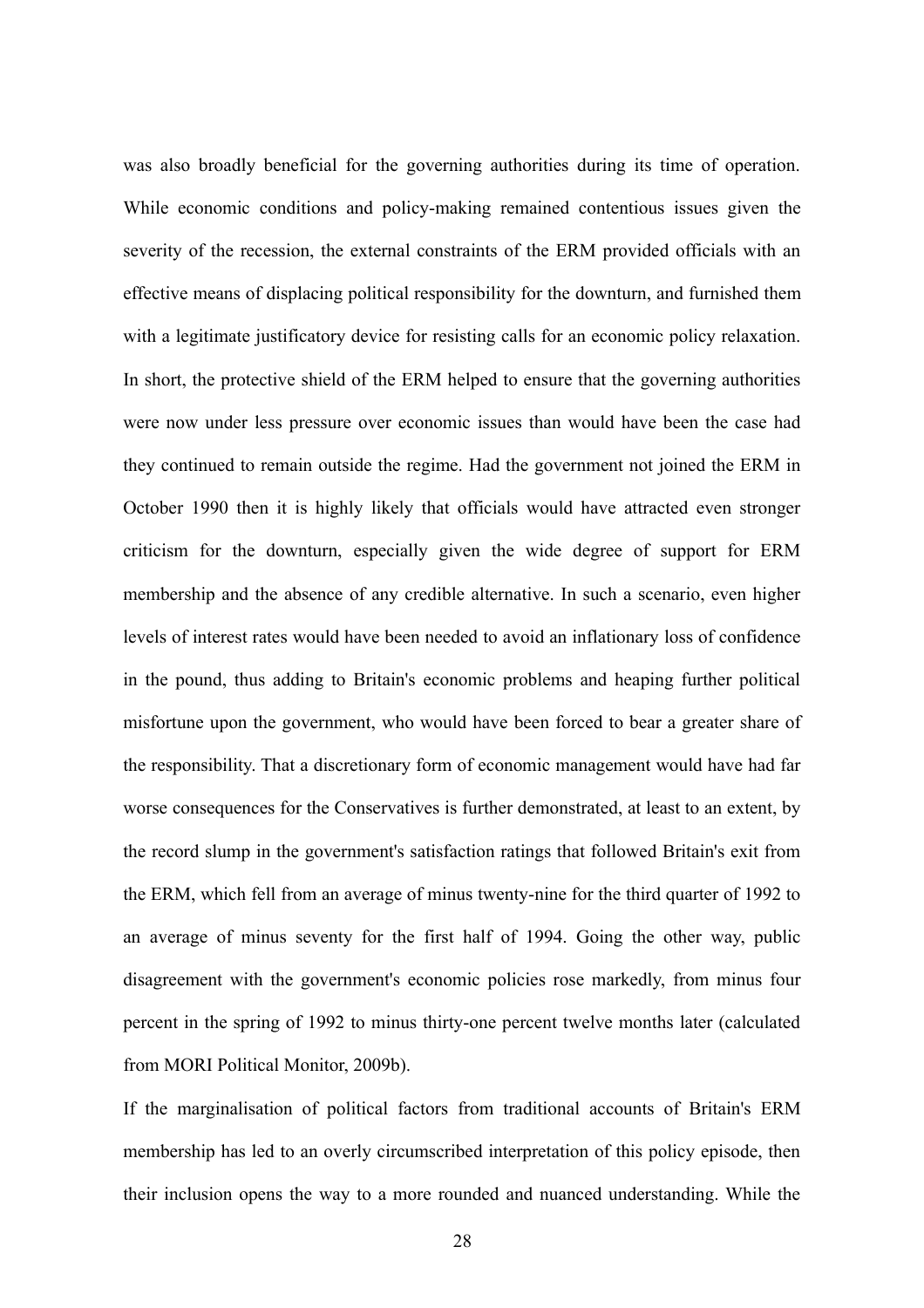was also broadly beneficial for the governing authorities during its time of operation. While economic conditions and policy-making remained contentious issues given the severity of the recession, the external constraints of the ERM provided officials with an effective means of displacing political responsibility for the downturn, and furnished them with a legitimate justificatory device for resisting calls for an economic policy relaxation. In short, the protective shield of the ERM helped to ensure that the governing authorities were now under less pressure over economic issues than would have been the case had they continued to remain outside the regime. Had the government not joined the ERM in October 1990 then it is highly likely that officials would have attracted even stronger criticism for the downturn, especially given the wide degree of support for ERM membership and the absence of any credible alternative. In such a scenario, even higher levels of interest rates would have been needed to avoid an inflationary loss of confidence in the pound, thus adding to Britain's economic problems and heaping further political misfortune upon the government, who would have been forced to bear a greater share of the responsibility. That a discretionary form of economic management would have had far worse consequences for the Conservatives is further demonstrated, at least to an extent, by the record slump in the government's satisfaction ratings that followed Britain's exit from the ERM, which fell from an average of minus twenty-nine for the third quarter of 1992 to an average of minus seventy for the first half of 1994. Going the other way, public disagreement with the government's economic policies rose markedly, from minus four percent in the spring of 1992 to minus thirty-one percent twelve months later (calculated from MORI Political Monitor, 2009b).

If the marginalisation of political factors from traditional accounts of Britain's ERM membership has led to an overly circumscribed interpretation of this policy episode, then their inclusion opens the way to a more rounded and nuanced understanding. While the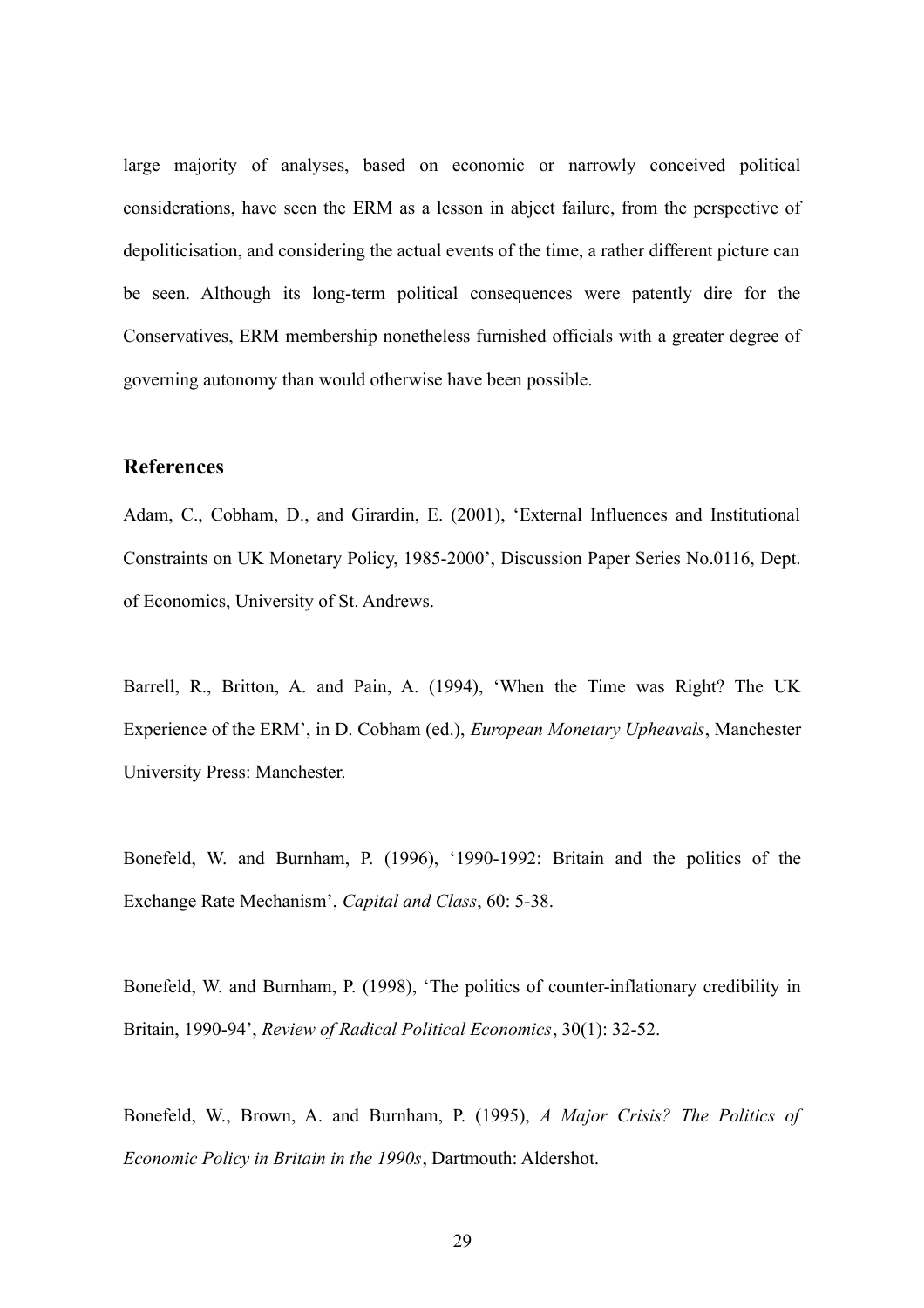large majority of analyses, based on economic or narrowly conceived political considerations, have seen the ERM as a lesson in abject failure, from the perspective of depoliticisation, and considering the actual events of the time, a rather different picture can be seen. Although its long-term political consequences were patently dire for the Conservatives, ERM membership nonetheless furnished officials with a greater degree of governing autonomy than would otherwise have been possible.

# **References**

Adam, C., Cobham, D., and Girardin, E. (2001), 'External Influences and Institutional Constraints on UK Monetary Policy, 1985-2000', Discussion Paper Series No.0116, Dept. of Economics, University of St. Andrews.

Barrell, R., Britton, A. and Pain, A. (1994), 'When the Time was Right? The UK Experience of the ERM', in D. Cobham (ed.), *European Monetary Upheavals*, Manchester University Press: Manchester.

Bonefeld, W. and Burnham, P. (1996), '1990-1992: Britain and the politics of the Exchange Rate Mechanism', *Capital and Class*, 60: 5-38.

Bonefeld, W. and Burnham, P. (1998), 'The politics of counter-inflationary credibility in Britain, 1990-94', *Review of Radical Political Economics*, 30(1): 32-52.

Bonefeld, W., Brown, A. and Burnham, P. (1995), *A Major Crisis? The Politics of Economic Policy in Britain in the 1990s*, Dartmouth: Aldershot.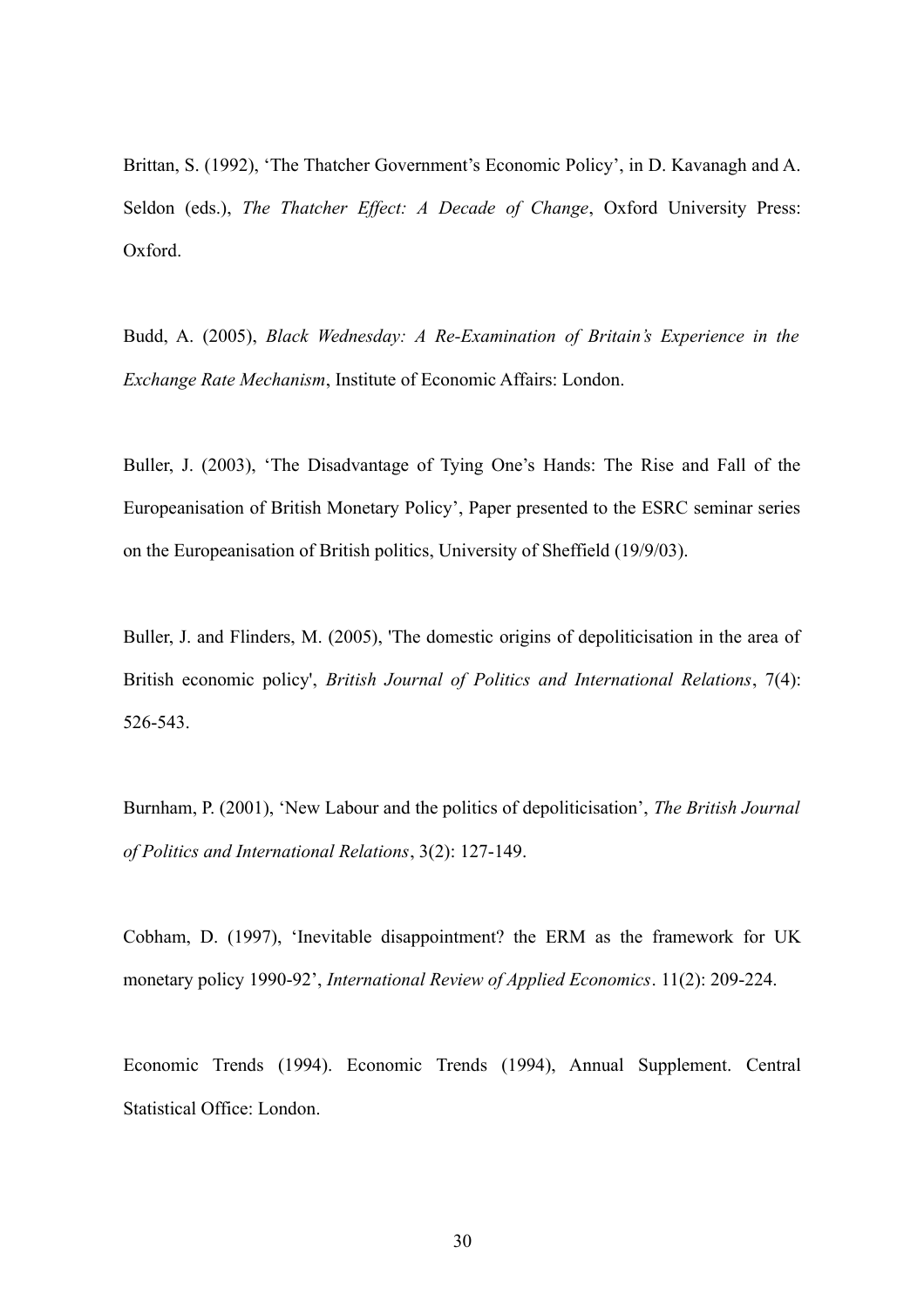Brittan, S. (1992), 'The Thatcher Government's Economic Policy', in D. Kavanagh and A. Seldon (eds.), *The Thatcher Effect: A Decade of Change*, Oxford University Press: Oxford.

Budd, A. (2005), *Black Wednesday: A Re-Examination of Britain's Experience in the Exchange Rate Mechanism*, Institute of Economic Affairs: London.

Buller, J. (2003), 'The Disadvantage of Tying One's Hands: The Rise and Fall of the Europeanisation of British Monetary Policy', Paper presented to the ESRC seminar series on the Europeanisation of British politics, University of Sheffield (19/9/03).

Buller, J. and Flinders, M. (2005), 'The domestic origins of depoliticisation in the area of British economic policy', *British Journal of Politics and International Relations*, 7(4): 526-543.

Burnham, P. (2001), 'New Labour and the politics of depoliticisation', *The British Journal of Politics and International Relations*, 3(2): 127-149.

Cobham, D. (1997), 'Inevitable disappointment? the ERM as the framework for UK monetary policy 1990-92', *International Review of Applied Economics*. 11(2): 209-224.

Economic Trends (1994). Economic Trends (1994), Annual Supplement. Central Statistical Office: London.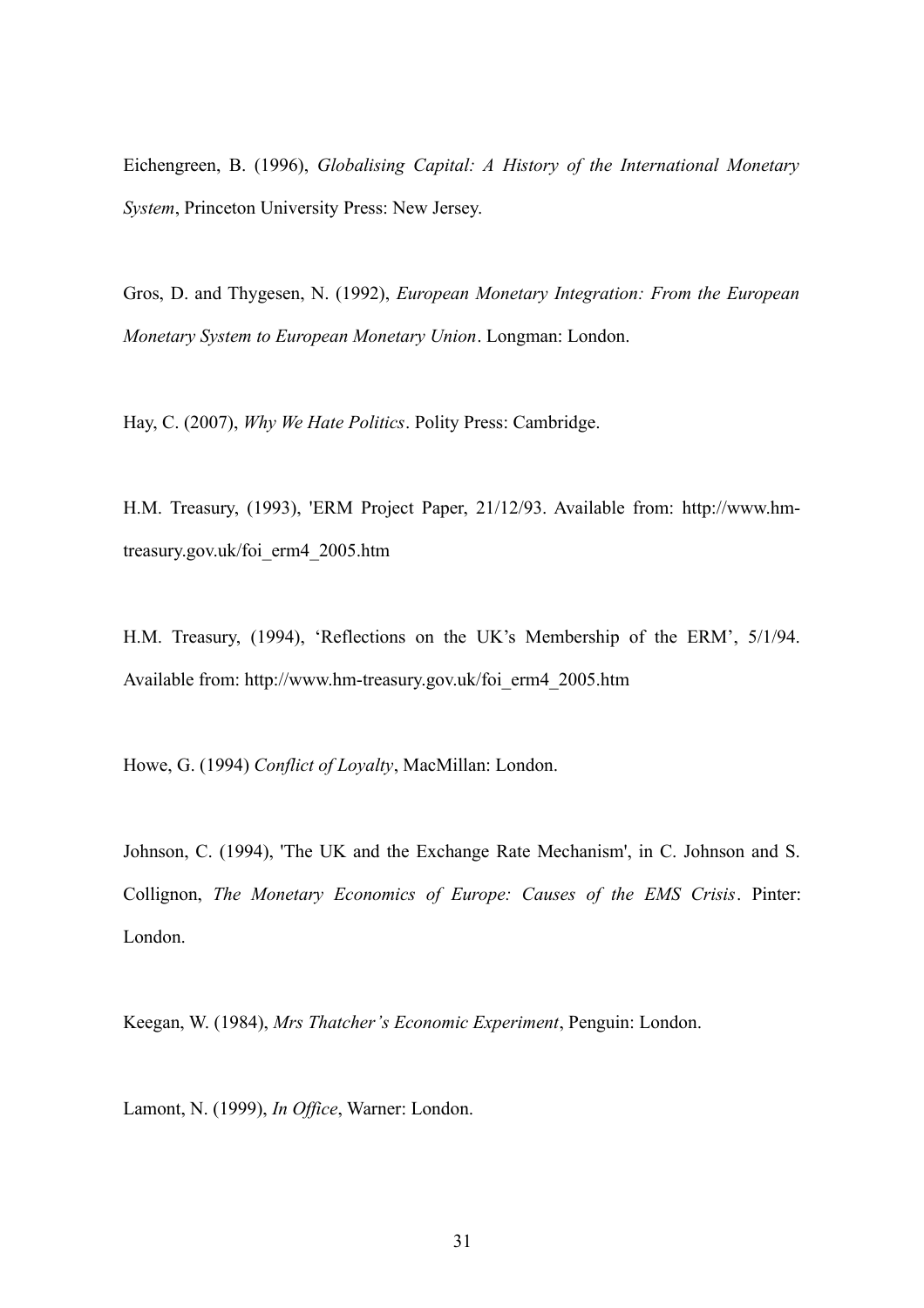Eichengreen, B. (1996), *Globalising Capital: A History of the International Monetary System*, Princeton University Press: New Jersey.

Gros, D. and Thygesen, N. (1992), *European Monetary Integration: From the European Monetary System to European Monetary Union*. Longman: London.

Hay, C. (2007), *Why We Hate Politics*. Polity Press: Cambridge.

H.M. Treasury, (1993), 'ERM Project Paper, 21/12/93. Available from: http://www.hmtreasury.gov.uk/foi\_erm4\_2005.htm

H.M. Treasury, (1994), 'Reflections on the UK's Membership of the ERM', 5/1/94. Available from: http://www.hm-treasury.gov.uk/foi\_erm4\_2005.htm

Howe, G. (1994) *Conflict of Loyalty*, MacMillan: London.

Johnson, C. (1994), 'The UK and the Exchange Rate Mechanism', in C. Johnson and S. Collignon, *The Monetary Economics of Europe: Causes of the EMS Crisis*. Pinter: London.

Keegan, W. (1984), *Mrs Thatcher's Economic Experiment*, Penguin: London.

Lamont, N. (1999), *In Office*, Warner: London.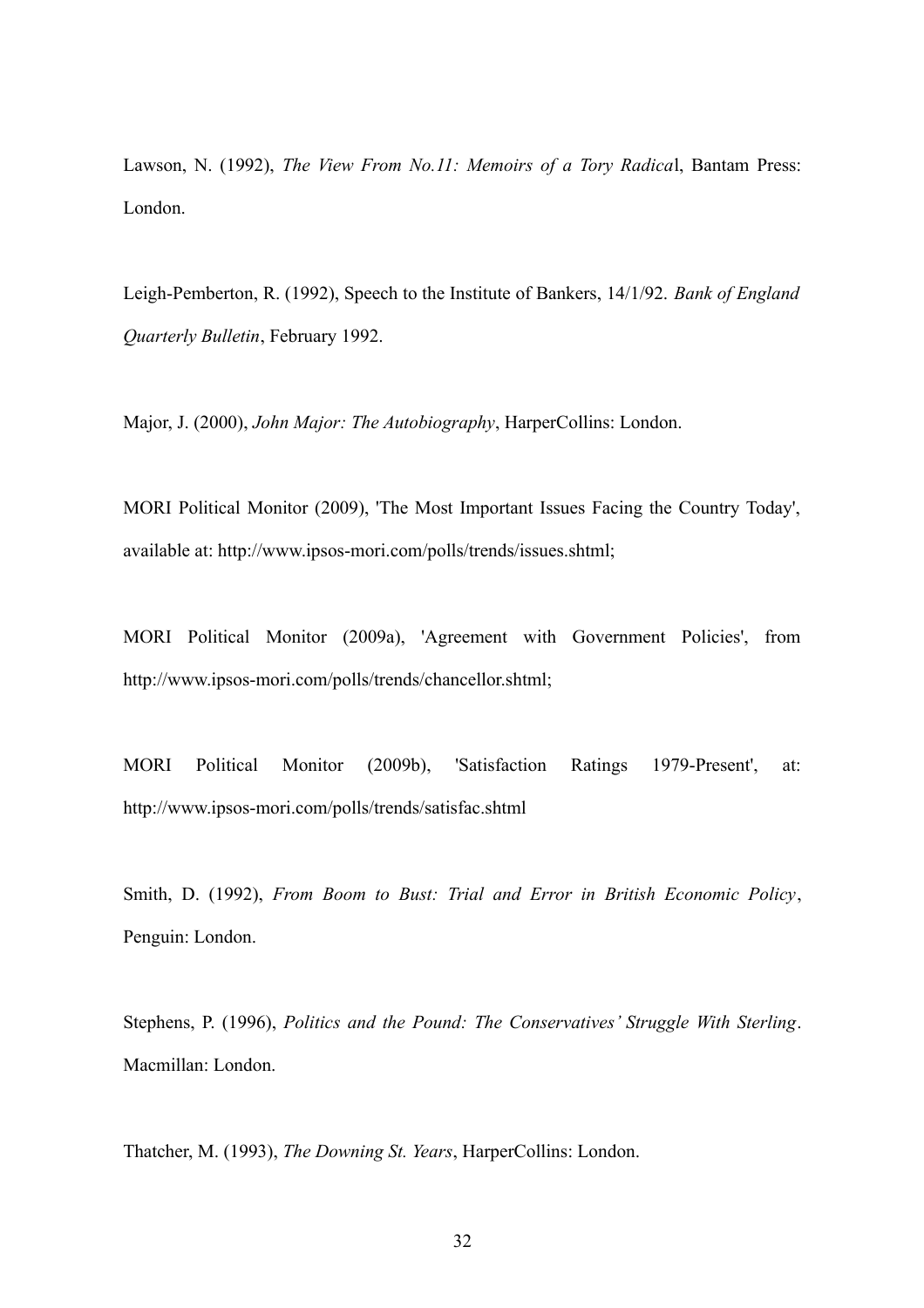Lawson, N. (1992), *The View From No.11: Memoirs of a Tory Radica*l, Bantam Press: London.

Leigh-Pemberton, R. (1992), Speech to the Institute of Bankers, 14/1/92. *Bank of England Quarterly Bulletin*, February 1992.

Major, J. (2000), *John Major: The Autobiography*, HarperCollins: London.

MORI Political Monitor (2009), 'The Most Important Issues Facing the Country Today', available at: http://www.ipsos-mori.com/polls/trends/issues.shtml;

MORI Political Monitor (2009a), 'Agreement with Government Policies', from http://www.ipsos-mori.com/polls/trends/chancellor.shtml;

MORI Political Monitor (2009b), 'Satisfaction Ratings 1979-Present', at: http://www.ipsos-mori.com/polls/trends/satisfac.shtml

Smith, D. (1992), *From Boom to Bust: Trial and Error in British Economic Policy*, Penguin: London.

Stephens, P. (1996), *Politics and the Pound: The Conservatives' Struggle With Sterling*. Macmillan: London.

Thatcher, M. (1993), *The Downing St. Years*, HarperCollins: London.